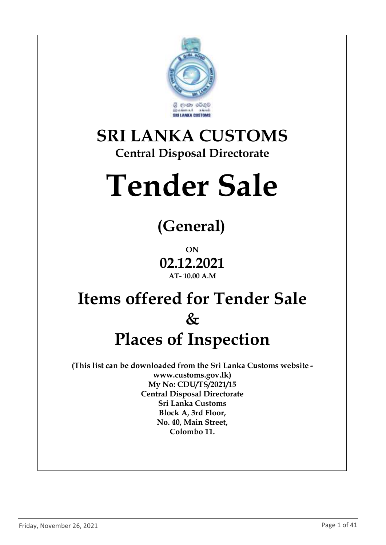

### **SRI LANKA CUSTOMS Central Disposal Directorate**

# **Tender Sale**

# **(General)**

**ON 02.12.2021 AT- 10.00 A.M**

## **Items offered for Tender Sale & Places of Inspection**

**(This list can be downloaded from the Sri Lanka Customs website www.customs.gov.lk) My No: CDU/TS/2021/15 Central Disposal Directorate Sri Lanka Customs Block A, 3rd Floor, No. 40, Main Street, Colombo 11.**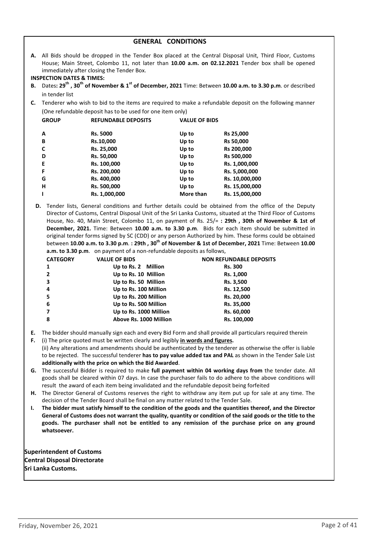| <b>GENERAL CONDITIONS</b> |  |
|---------------------------|--|
|---------------------------|--|

**A.** All Bids should be dropped in the Tender Box placed at the Central Disposal Unit, Third Floor, Customs House; Main Street, Colombo 11, not later than **10.00 a.m. on 02.12.2021** Tender box shall be opened immediately after closing the Tender Box.

#### **INSPECTION DATES & TIMES:**

- **B.** Dates**: 29th , 30th of November & 1st of December, 2021** Time: Between **10.00 a.m. to 3.30 p.m**. or described in tender list
- **C.** Tenderer who wish to bid to the items are required to make a refundable deposit on the following manner (One refundable deposit has to be used for one item only)

| <b>GROUP</b> | <b>REFUNDABLE DEPOSITS</b> | <b>VALUE OF BIDS</b> |                |
|--------------|----------------------------|----------------------|----------------|
| A            | <b>Rs. 5000</b>            | Up to                | Rs 25,000      |
| B            | Rs.10,000                  | Up to                | Rs 50,000      |
| C            | Rs. 25,000                 | Up to                | Rs 200,000     |
| D            | Rs. 50,000                 | Up to                | Rs 500,000     |
| Е            | Rs. 100,000                | Up to                | Rs. 1,000,000  |
| F            | Rs. 200,000                | Up to                | Rs. 5,000,000  |
| G            | Rs. 400,000                | Up to                | Rs. 10,000,000 |
| н            | Rs. 500,000                | Up to                | Rs. 15,000,000 |
| т            | Rs. 1,000,000              | More than            | Rs. 15,000,000 |
|              |                            |                      |                |

**D.** Tender lists, General conditions and further details could be obtained from the office of the Deputy Director of Customs, Central Disposal Unit of the Sri Lanka Customs, situated at the Third Floor of Customs House, No. 40, Main Street, Colombo 11, on payment of Rs. 25/= **: 29th , 30th of November & 1st of December, 2021.** Time: Between **10.00 a.m. to 3.30 p.m**. Bids for each item should be submitted in original tender forms signed by SC (CDD) or any person Authorized by him. These forms could be obtained between **10.00 a.m. to 3.30 p.m**. **: 29th , 30th of November & 1st of December, 2021** Time: Between **10.00 a.m. to 3.30 p.m**. on payment of a non-refundable deposits as follows,

| <b>CATEGORY</b> | <b>VALUE OF BIDS</b>   | <b>NON REFUNDABLE DEPOSITS</b> |
|-----------------|------------------------|--------------------------------|
| 1               | Up to Rs. 2 Million    | <b>Rs. 300</b>                 |
| $\overline{2}$  | Up to Rs. 10 Million   | Rs. 1,000                      |
| 3               | Up to Rs. 50 Million   | Rs. 3,500                      |
| 4               | Up to Rs. 100 Million  | Rs. 12,500                     |
| 5               | Up to Rs. 200 Million  | Rs. 20,000                     |
| 6               | Up to Rs. 500 Million  | Rs. 35,000                     |
|                 | Up to Rs. 1000 Million | Rs. 60,000                     |
| 8               | Above Rs. 1000 Million | Rs. 100,000                    |

- **E.** The bidder should manually sign each and every Bid Form and shall provide all particulars required therein
- **F.** (i) The price quoted must be written clearly and legibly **in words and figures.** (ii) Any alterations and amendments should be authenticated by the tenderer as otherwise the offer is liable to be rejected. The successful tenderer **has to pay value added tax and PAL** as shown in the Tender Sale List **additionally with the price on which the Bid Awarded**.
- **G.** The successful Bidder is required to make **full payment within 04 working days from** the tender date. All goods shall be cleared within 07 days. In case the purchaser fails to do adhere to the above conditions will result the award of each item being invalidated and the refundable deposit being forfeited
- **H.** The Director General of Customs reserves the right to withdraw any item put up for sale at any time. The decision of the Tender Board shall be final on any matter related to the Tender Sale.
- **I. The bidder must satisfy himself to the condition of the goods and the quantities thereof, and the Director General of Customs does not warrant the quality, quantity or condition of the said goods or the title to the goods. The purchaser shall not be entitled to any remission of the purchase price on any ground whatsoever.**

**Superintendent of Customs Central Disposal Directorate Sri Lanka Customs.**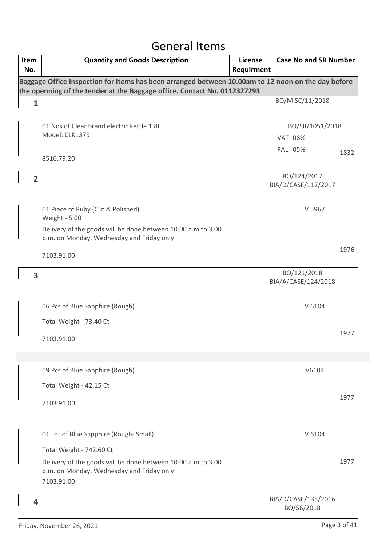### General Items

| Item<br>No.    | <b>Quantity and Goods Description</b>                                                                                   | <b>License</b><br>Requirment | <b>Case No and SR Number</b>       |      |
|----------------|-------------------------------------------------------------------------------------------------------------------------|------------------------------|------------------------------------|------|
|                | Baggage Office Inspection for Items has been arranged between 10.00am to 12 noon on the day before                      |                              |                                    |      |
|                | the openning of the tender at the Baggage office. Contact No. 0112327293                                                |                              | BO/MISC/11/2018                    |      |
| $\mathbf{1}$   |                                                                                                                         |                              |                                    |      |
|                | 01 Nos of Clear brand electric kettle 1.8L                                                                              |                              | BO/SR/1051/2018                    |      |
|                | Model: CLK1379                                                                                                          |                              | <b>VAT 08%</b>                     |      |
|                |                                                                                                                         |                              | PAL 05%                            | 1832 |
|                | 8516.79.20                                                                                                              |                              |                                    |      |
| $\overline{2}$ |                                                                                                                         |                              | BO/124/2017<br>BIA/D/CASE/117/2017 |      |
|                | 01 Piece of Ruby (Cut & Polished)<br>Weight - 5.00                                                                      |                              | V 5967                             |      |
|                | Delivery of the goods will be done between 10.00 a.m to 3.00<br>p.m. on Monday, Wednesday and Friday only               |                              |                                    |      |
|                |                                                                                                                         |                              |                                    | 1976 |
|                | 7103.91.00                                                                                                              |                              |                                    |      |
| 3              |                                                                                                                         |                              | BO/121/2018<br>BIA/A/CASE/124/2018 |      |
|                | 06 Pcs of Blue Sapphire (Rough)                                                                                         |                              | V 6104                             |      |
|                | Total Weight - 73.40 Ct                                                                                                 |                              |                                    |      |
|                | 7103.91.00                                                                                                              |                              |                                    | 1977 |
|                |                                                                                                                         |                              |                                    |      |
|                | 09 Pcs of Blue Sapphire (Rough)                                                                                         |                              | V6104                              |      |
|                | Total Weight - 42.15 Ct                                                                                                 |                              |                                    |      |
|                | 7103.91.00                                                                                                              |                              |                                    | 1977 |
|                | 01 Lot of Blue Sapphire (Rough-Small)                                                                                   |                              | V 6104                             |      |
|                | Total Weight - 742.60 Ct                                                                                                |                              |                                    |      |
|                | Delivery of the goods will be done between 10.00 a.m to 3.00<br>p.m. on Monday, Wednesday and Friday only<br>7103.91.00 |                              |                                    | 1977 |
| 4              |                                                                                                                         |                              | BIA/D/CASE/135/2016<br>BO/56/2018  |      |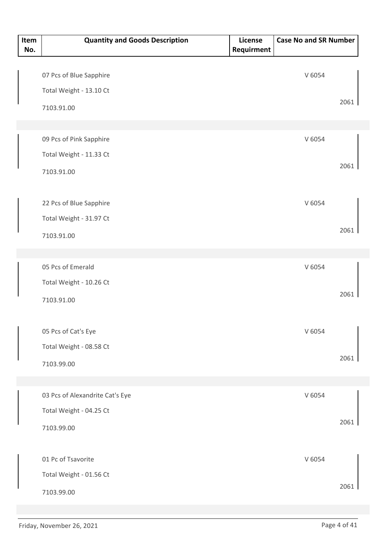| Item<br>No. | <b>Quantity and Goods Description</b> | License<br>Requirment | <b>Case No and SR Number</b> |      |
|-------------|---------------------------------------|-----------------------|------------------------------|------|
|             |                                       |                       |                              |      |
|             | 07 Pcs of Blue Sapphire               |                       | V 6054                       |      |
|             | Total Weight - 13.10 Ct               |                       |                              |      |
|             | 7103.91.00                            |                       |                              | 2061 |
|             |                                       |                       |                              |      |
|             | 09 Pcs of Pink Sapphire               |                       | V 6054                       |      |
|             | Total Weight - 11.33 Ct               |                       |                              |      |
|             | 7103.91.00                            |                       |                              | 2061 |
|             |                                       |                       |                              |      |
|             | 22 Pcs of Blue Sapphire               |                       | V 6054                       |      |
|             | Total Weight - 31.97 Ct               |                       |                              |      |
|             | 7103.91.00                            |                       |                              | 2061 |
|             |                                       |                       |                              |      |
|             | 05 Pcs of Emerald                     |                       | V 6054                       |      |
|             | Total Weight - 10.26 Ct               |                       |                              |      |
|             | 7103.91.00                            |                       |                              | 2061 |
|             |                                       |                       |                              |      |
|             | 05 Pcs of Cat's Eye                   |                       | V 6054                       |      |
|             | Total Weight - 08.58 Ct               |                       |                              |      |
|             | 7103.99.00                            |                       |                              | 2061 |
|             |                                       |                       |                              |      |
|             | 03 Pcs of Alexandrite Cat's Eye       |                       | V 6054                       |      |
|             | Total Weight - 04.25 Ct               |                       |                              |      |
|             | 7103.99.00                            |                       |                              | 2061 |
|             |                                       |                       |                              |      |
|             | 01 Pc of Tsavorite                    |                       | V 6054                       |      |
|             | Total Weight - 01.56 Ct               |                       |                              |      |
|             | 7103.99.00                            |                       |                              | 2061 |
|             |                                       |                       |                              |      |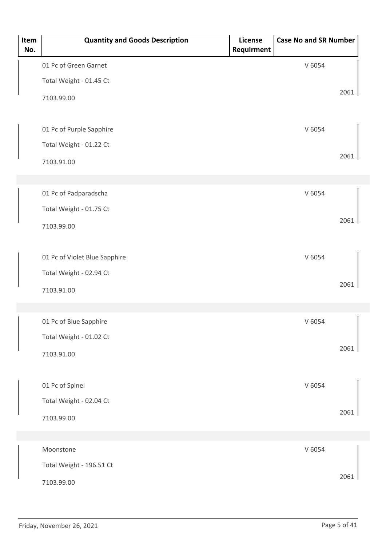| Item<br>No. | <b>Quantity and Goods Description</b> | License<br>Requirment | <b>Case No and SR Number</b> |      |
|-------------|---------------------------------------|-----------------------|------------------------------|------|
|             | 01 Pc of Green Garnet                 |                       | V 6054                       |      |
|             | Total Weight - 01.45 Ct               |                       |                              |      |
|             | 7103.99.00                            |                       |                              | 2061 |
|             |                                       |                       |                              |      |
|             | 01 Pc of Purple Sapphire              |                       | V 6054                       |      |
|             | Total Weight - 01.22 Ct               |                       |                              |      |
|             | 7103.91.00                            |                       |                              | 2061 |
|             |                                       |                       |                              |      |
|             | 01 Pc of Padparadscha                 |                       | V 6054                       |      |
|             | Total Weight - 01.75 Ct               |                       |                              | 2061 |
|             | 7103.99.00                            |                       |                              |      |
|             |                                       |                       |                              |      |
|             | 01 Pc of Violet Blue Sapphire         |                       | V 6054                       |      |
|             | Total Weight - 02.94 Ct               |                       |                              | 2061 |
|             | 7103.91.00                            |                       |                              |      |
|             |                                       |                       |                              |      |
|             | 01 Pc of Blue Sapphire                |                       | V 6054                       |      |
|             | Total Weight - 01.02 Ct               |                       |                              | 2061 |
|             | 7103.91.00                            |                       |                              |      |
|             | 01 Pc of Spinel                       |                       | V 6054                       |      |
|             | Total Weight - 02.04 Ct               |                       |                              |      |
|             | 7103.99.00                            |                       |                              | 2061 |
|             |                                       |                       |                              |      |
|             | Moonstone                             |                       | V 6054                       |      |
|             | Total Weight - 196.51 Ct              |                       |                              |      |
|             | 7103.99.00                            |                       |                              | 2061 |
|             |                                       |                       |                              |      |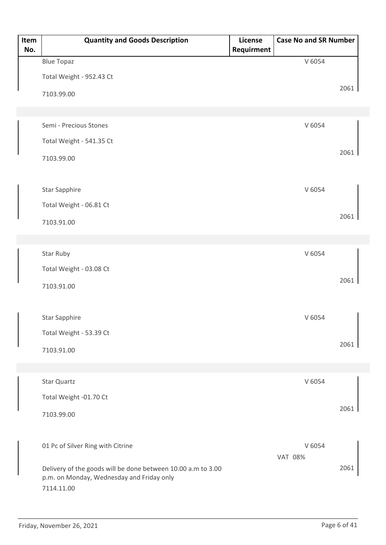| Item<br>No. | <b>Quantity and Goods Description</b>                                                                     | License<br>Requirment | <b>Case No and SR Number</b> |      |
|-------------|-----------------------------------------------------------------------------------------------------------|-----------------------|------------------------------|------|
|             | <b>Blue Topaz</b>                                                                                         |                       | V 6054                       |      |
|             | Total Weight - 952.43 Ct                                                                                  |                       |                              |      |
|             | 7103.99.00                                                                                                |                       |                              | 2061 |
|             |                                                                                                           |                       |                              |      |
|             | Semi - Precious Stones                                                                                    |                       | V 6054                       |      |
|             | Total Weight - 541.35 Ct                                                                                  |                       |                              |      |
|             | 7103.99.00                                                                                                |                       |                              | 2061 |
|             |                                                                                                           |                       |                              |      |
|             | <b>Star Sapphire</b>                                                                                      |                       | V 6054                       |      |
|             | Total Weight - 06.81 Ct                                                                                   |                       |                              |      |
|             | 7103.91.00                                                                                                |                       |                              | 2061 |
|             |                                                                                                           |                       |                              |      |
|             | Star Ruby                                                                                                 |                       | V 6054                       |      |
|             | Total Weight - 03.08 Ct                                                                                   |                       |                              |      |
|             | 7103.91.00                                                                                                |                       |                              | 2061 |
|             |                                                                                                           |                       |                              |      |
|             | <b>Star Sapphire</b>                                                                                      |                       | V 6054                       |      |
|             | Total Weight - 53.39 Ct                                                                                   |                       |                              |      |
|             | 7103.91.00                                                                                                |                       |                              | 2061 |
|             |                                                                                                           |                       |                              |      |
|             | Star Quartz                                                                                               |                       | V 6054                       |      |
|             | Total Weight -01.70 Ct                                                                                    |                       |                              |      |
|             | 7103.99.00                                                                                                |                       |                              | 2061 |
|             |                                                                                                           |                       |                              |      |
|             | 01 Pc of Silver Ring with Citrine                                                                         |                       | V 6054                       |      |
|             |                                                                                                           |                       | <b>VAT 08%</b>               |      |
|             | Delivery of the goods will be done between 10.00 a.m to 3.00<br>p.m. on Monday, Wednesday and Friday only |                       |                              | 2061 |
|             | 7114.11.00                                                                                                |                       |                              |      |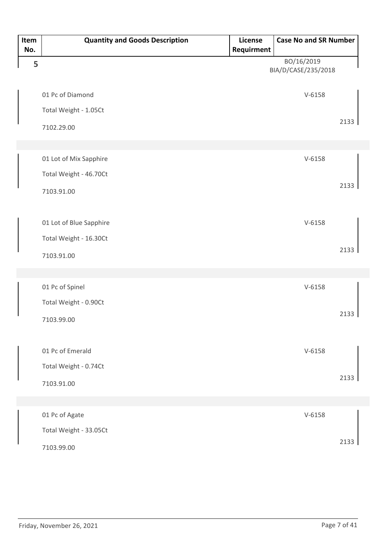| Item<br>No. | <b>Quantity and Goods Description</b> | License<br>Requirment | <b>Case No and SR Number</b>      |      |
|-------------|---------------------------------------|-----------------------|-----------------------------------|------|
| 5           |                                       |                       | BO/16/2019<br>BIA/D/CASE/235/2018 |      |
|             | 01 Pc of Diamond                      |                       | $V - 6158$                        |      |
|             | Total Weight - 1.05Ct                 |                       |                                   |      |
|             | 7102.29.00                            |                       |                                   | 2133 |
|             |                                       |                       |                                   |      |
|             | 01 Lot of Mix Sapphire                |                       | $V-6158$                          |      |
|             | Total Weight - 46.70Ct                |                       |                                   |      |
|             | 7103.91.00                            |                       |                                   | 2133 |
|             |                                       |                       |                                   |      |
|             | 01 Lot of Blue Sapphire               |                       | $V-6158$                          |      |
|             | Total Weight - 16.30Ct                |                       |                                   |      |
|             | 7103.91.00                            |                       |                                   | 2133 |
|             |                                       |                       |                                   |      |
|             | 01 Pc of Spinel                       |                       | $V - 6158$                        |      |
|             | Total Weight - 0.90Ct                 |                       |                                   |      |
|             | 7103.99.00                            |                       |                                   | 2133 |
|             |                                       |                       |                                   |      |
|             | 01 Pc of Emerald                      |                       | $V-6158$                          |      |
|             | Total Weight - 0.74Ct                 |                       |                                   |      |
|             | 7103.91.00                            |                       |                                   | 2133 |
|             |                                       |                       |                                   |      |
|             | 01 Pc of Agate                        |                       | $V-6158$                          |      |
|             | Total Weight - 33.05Ct                |                       |                                   |      |
|             | 7103.99.00                            |                       |                                   | 2133 |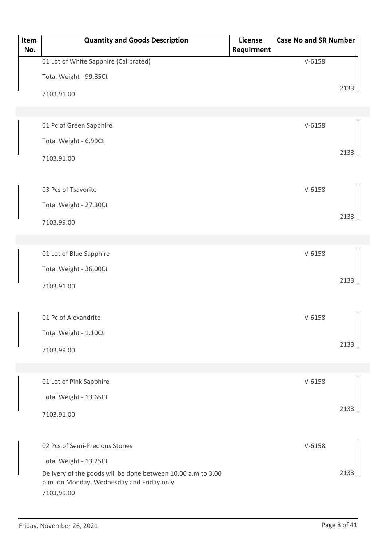| Item<br>No. | <b>Quantity and Goods Description</b>                                                                                   | License<br>Requirment | <b>Case No and SR Number</b> |      |
|-------------|-------------------------------------------------------------------------------------------------------------------------|-----------------------|------------------------------|------|
|             | 01 Lot of White Sapphire (Calibrated)                                                                                   |                       | $V-6158$                     |      |
|             | Total Weight - 99.85Ct                                                                                                  |                       |                              |      |
|             | 7103.91.00                                                                                                              |                       |                              | 2133 |
|             |                                                                                                                         |                       |                              |      |
|             | 01 Pc of Green Sapphire                                                                                                 |                       | $V-6158$                     |      |
|             | Total Weight - 6.99Ct                                                                                                   |                       |                              |      |
|             | 7103.91.00                                                                                                              |                       |                              | 2133 |
|             | 03 Pcs of Tsavorite                                                                                                     |                       | $V-6158$                     |      |
|             | Total Weight - 27.30Ct                                                                                                  |                       |                              |      |
|             | 7103.99.00                                                                                                              |                       |                              | 2133 |
|             |                                                                                                                         |                       |                              |      |
|             | 01 Lot of Blue Sapphire                                                                                                 |                       | $V-6158$                     |      |
|             | Total Weight - 36.00Ct                                                                                                  |                       |                              |      |
|             |                                                                                                                         |                       |                              | 2133 |
|             | 7103.91.00                                                                                                              |                       |                              |      |
|             | 01 Pc of Alexandrite                                                                                                    |                       | $V-6158$                     |      |
|             | Total Weight - 1.10Ct                                                                                                   |                       |                              |      |
|             | 7103.99.00                                                                                                              |                       |                              | 2133 |
|             |                                                                                                                         |                       |                              |      |
|             | 01 Lot of Pink Sapphire                                                                                                 |                       | $V-6158$                     |      |
|             | Total Weight - 13.65Ct                                                                                                  |                       |                              |      |
|             | 7103.91.00                                                                                                              |                       |                              | 2133 |
|             | 02 Pcs of Semi-Precious Stones                                                                                          |                       | $V-6158$                     |      |
|             | Total Weight - 13.25Ct                                                                                                  |                       |                              |      |
|             | Delivery of the goods will be done between 10.00 a.m to 3.00<br>p.m. on Monday, Wednesday and Friday only<br>7103.99.00 |                       |                              | 2133 |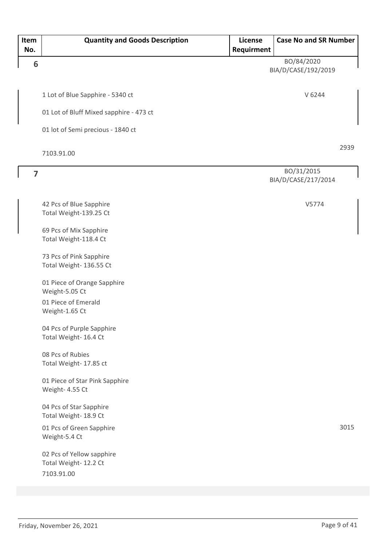| Item<br>No.             | <b>Quantity and Goods Description</b>                            | License<br>Requirment | <b>Case No and SR Number</b>      |      |
|-------------------------|------------------------------------------------------------------|-----------------------|-----------------------------------|------|
| 6                       |                                                                  |                       | BO/84/2020<br>BIA/D/CASE/192/2019 |      |
|                         | 1 Lot of Blue Sapphire - 5340 ct                                 |                       | V 6244                            |      |
|                         | 01 Lot of Bluff Mixed sapphire - 473 ct                          |                       |                                   |      |
|                         | 01 lot of Semi precious - 1840 ct                                |                       |                                   |      |
|                         | 7103.91.00                                                       |                       |                                   | 2939 |
| $\overline{\mathbf{z}}$ |                                                                  |                       | BO/31/2015<br>BIA/D/CASE/217/2014 |      |
|                         | 42 Pcs of Blue Sapphire<br>Total Weight-139.25 Ct                |                       | V5774                             |      |
|                         | 69 Pcs of Mix Sapphire<br>Total Weight-118.4 Ct                  |                       |                                   |      |
|                         | 73 Pcs of Pink Sapphire<br>Total Weight- 136.55 Ct               |                       |                                   |      |
|                         | 01 Piece of Orange Sapphire<br>Weight-5.05 Ct                    |                       |                                   |      |
|                         | 01 Piece of Emerald<br>Weight-1.65 Ct                            |                       |                                   |      |
|                         | 04 Pcs of Purple Sapphire<br>Total Weight- 16.4 Ct               |                       |                                   |      |
|                         | 08 Pcs of Rubies<br>Total Weight- 17.85 ct                       |                       |                                   |      |
|                         | 01 Piece of Star Pink Sapphire<br>Weight- 4.55 Ct                |                       |                                   |      |
|                         | 04 Pcs of Star Sapphire<br>Total Weight- 18.9 Ct                 |                       |                                   |      |
|                         | 01 Pcs of Green Sapphire<br>Weight-5.4 Ct                        |                       |                                   | 3015 |
|                         | 02 Pcs of Yellow sapphire<br>Total Weight- 12.2 Ct<br>7103.91.00 |                       |                                   |      |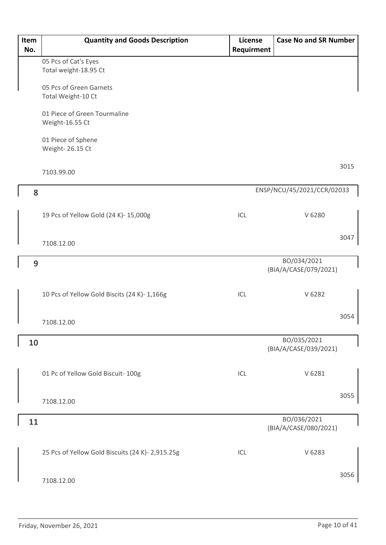| Item<br>No. | <b>Quantity and Goods Description</b>            | License<br>Requirment | <b>Case No and SR Number</b>         |
|-------------|--------------------------------------------------|-----------------------|--------------------------------------|
|             | 05 Pcs of Cat's Eyes                             |                       |                                      |
|             | Total weight-18.95 Ct                            |                       |                                      |
|             | 05 Pcs of Green Garnets                          |                       |                                      |
|             | Total Weight-10 Ct                               |                       |                                      |
|             | 01 Piece of Green Tourmaline<br>Weight-16.55 Ct  |                       |                                      |
|             | 01 Piece of Sphene<br>Weight- 26.15 Ct           |                       |                                      |
|             | 7103.99.00                                       |                       | 3015                                 |
| 8           |                                                  |                       | ENSP/NCU/45/2021/CCR/02033           |
|             | 19 Pcs of Yellow Gold (24 K)- 15,000g            | ICL                   | V 6280                               |
|             | 7108.12.00                                       |                       | 3047                                 |
| 9           |                                                  |                       | BO/034/2021<br>(BIA/A/CASE/079/2021) |
|             | 10 Pcs of Yellow Gold Biscits (24 K)- 1,166g     | ICL                   | V 6282                               |
|             | 7108.12.00                                       |                       | 3054                                 |
| 10          |                                                  |                       | BO/035/2021<br>(BIA/A/CASE/039/2021) |
|             | 01 Pc of Yellow Gold Biscuit- 100g               | ICL                   | V 6281                               |
|             | 7108.12.00                                       |                       | 3055                                 |
| 11          |                                                  |                       | BO/036/2021<br>(BIA/A/CASE/080/2021) |
|             | 25 Pcs of Yellow Gold Biscuits (24 K)- 2,915.25g | ICL                   | V 6283                               |
|             | 7108.12.00                                       |                       | 3056                                 |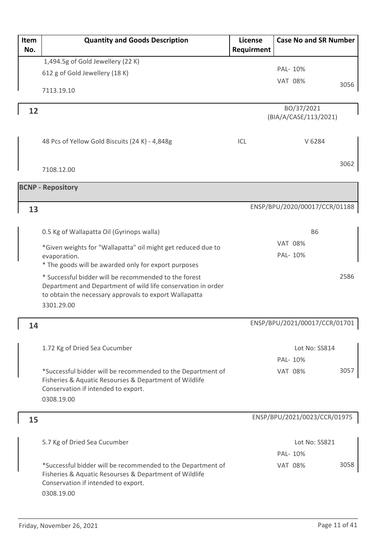| Item<br>No. | <b>Quantity and Goods Description</b>                                                                                                                                                         | License<br>Requirment | <b>Case No and SR Number</b>        |      |
|-------------|-----------------------------------------------------------------------------------------------------------------------------------------------------------------------------------------------|-----------------------|-------------------------------------|------|
|             | 1,494.5g of Gold Jewellery (22 K)                                                                                                                                                             |                       |                                     |      |
|             | 612 g of Gold Jewellery (18 K)                                                                                                                                                                |                       | PAL- 10%                            |      |
|             |                                                                                                                                                                                               |                       | <b>VAT 08%</b>                      | 3056 |
|             | 7113.19.10                                                                                                                                                                                    |                       |                                     |      |
| 12          |                                                                                                                                                                                               |                       | BO/37/2021<br>(BIA/A/CASE/113/2021) |      |
|             |                                                                                                                                                                                               |                       |                                     |      |
|             | 48 Pcs of Yellow Gold Biscuits (24 K) - 4,848g                                                                                                                                                | ICL                   | V 6284                              |      |
|             | 7108.12.00                                                                                                                                                                                    |                       |                                     | 3062 |
|             | <b>BCNP - Repository</b>                                                                                                                                                                      |                       |                                     |      |
| 13          |                                                                                                                                                                                               |                       | ENSP/BPU/2020/00017/CCR/01188       |      |
|             |                                                                                                                                                                                               |                       |                                     |      |
|             | 0.5 Kg of Wallapatta Oil (Gyrinops walla)                                                                                                                                                     |                       | <b>B6</b>                           |      |
|             | *Given weights for "Wallapatta" oil might get reduced due to                                                                                                                                  |                       | <b>VAT 08%</b>                      |      |
|             | evaporation.                                                                                                                                                                                  |                       | PAL- 10%                            |      |
|             | * The goods will be awarded only for export purposes                                                                                                                                          |                       |                                     |      |
|             | * Successful bidder will be recommended to the forest<br>Department and Department of wild life conservation in order<br>to obtain the necessary approvals to export Wallapatta<br>3301.29.00 |                       |                                     | 2586 |
|             |                                                                                                                                                                                               |                       | ENSP/BPU/2021/00017/CCR/01701       |      |
| 14          |                                                                                                                                                                                               |                       |                                     |      |
|             | 1.72 Kg of Dried Sea Cucumber                                                                                                                                                                 |                       | Lot No: SS814                       |      |
|             |                                                                                                                                                                                               |                       | PAL- 10%                            |      |
|             | *Successful bidder will be recommended to the Department of<br>Fisheries & Aquatic Resourses & Department of Wildlife                                                                         |                       | <b>VAT 08%</b>                      | 3057 |
|             | Conservation if intended to export.<br>0308.19.00                                                                                                                                             |                       |                                     |      |
| 15          |                                                                                                                                                                                               |                       | ENSP/BPU/2021/0023/CCR/01975        |      |
|             |                                                                                                                                                                                               |                       |                                     |      |
|             | 5.7 Kg of Dried Sea Cucumber                                                                                                                                                                  |                       | Lot No: SS821                       |      |
|             |                                                                                                                                                                                               |                       | PAL-10%                             |      |
|             | *Successful bidder will be recommended to the Department of<br>Fisheries & Aquatic Resourses & Department of Wildlife<br>Conservation if intended to export.                                  |                       | <b>VAT 08%</b>                      | 3058 |
|             | 0308.19.00                                                                                                                                                                                    |                       |                                     |      |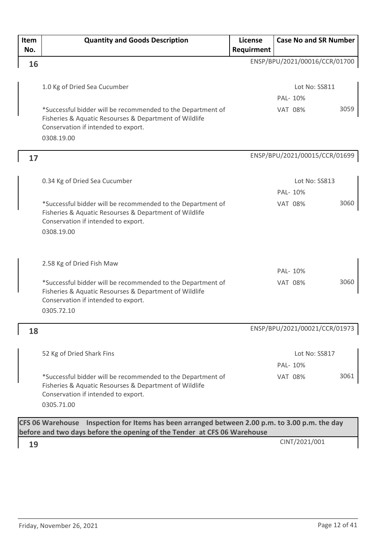| Item | <b>Quantity and Goods Description</b>                                                                                                                        | License    | <b>Case No and SR Number</b>  |      |
|------|--------------------------------------------------------------------------------------------------------------------------------------------------------------|------------|-------------------------------|------|
| No.  |                                                                                                                                                              | Requirment |                               |      |
| 16   |                                                                                                                                                              |            | ENSP/BPU/2021/00016/CCR/01700 |      |
|      |                                                                                                                                                              |            |                               |      |
|      | 1.0 Kg of Dried Sea Cucumber                                                                                                                                 |            | Lot No: SS811                 |      |
|      |                                                                                                                                                              |            | PAL- 10%                      |      |
|      | *Successful bidder will be recommended to the Department of<br>Fisheries & Aquatic Resourses & Department of Wildlife<br>Conservation if intended to export. |            | <b>VAT 08%</b>                | 3059 |
|      | 0308.19.00                                                                                                                                                   |            |                               |      |
| 17   |                                                                                                                                                              |            | ENSP/BPU/2021/00015/CCR/01699 |      |
|      | 0.34 Kg of Dried Sea Cucumber                                                                                                                                |            | Lot No: SS813                 |      |
|      |                                                                                                                                                              |            | PAL- 10%                      |      |
|      | *Successful bidder will be recommended to the Department of<br>Fisheries & Aquatic Resourses & Department of Wildlife<br>Conservation if intended to export. |            | <b>VAT 08%</b>                | 3060 |
|      | 0308.19.00                                                                                                                                                   |            |                               |      |
|      | 2.58 Kg of Dried Fish Maw                                                                                                                                    |            |                               |      |
|      |                                                                                                                                                              |            | PAL- 10%                      |      |
|      | *Successful bidder will be recommended to the Department of<br>Fisheries & Aquatic Resourses & Department of Wildlife<br>Conservation if intended to export. |            | <b>VAT 08%</b>                | 3060 |
|      | 0305.72.10                                                                                                                                                   |            |                               |      |
| 18   |                                                                                                                                                              |            | ENSP/BPU/2021/00021/CCR/01973 |      |
|      |                                                                                                                                                              |            |                               |      |
|      | 52 Kg of Dried Shark Fins                                                                                                                                    |            | Lot No: SS817                 |      |
|      |                                                                                                                                                              |            | PAL- 10%                      |      |
|      | *Successful bidder will be recommended to the Department of<br>Fisheries & Aquatic Resourses & Department of Wildlife<br>Conservation if intended to export. |            | <b>VAT 08%</b>                | 3061 |
|      | 0305.71.00                                                                                                                                                   |            |                               |      |
|      | CFS 06 Warehouse Inspection for Items has been arranged between 2.00 p.m. to 3.00 p.m. the day                                                               |            |                               |      |

**before and two days before the opening of the Tender at CFS 06 Warehouse**

CINT/2021/001 **19**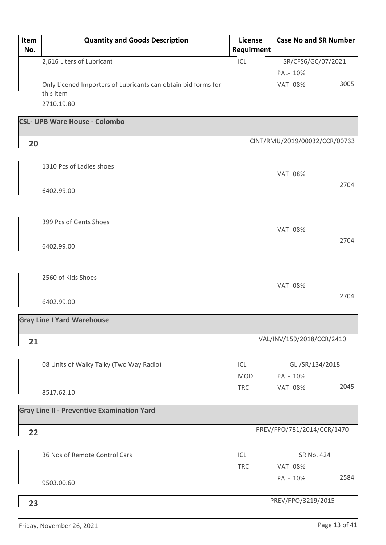| Item<br>No. | <b>Quantity and Goods Description</b>                                      | License<br>Requirment | <b>Case No and SR Number</b>  |      |
|-------------|----------------------------------------------------------------------------|-----------------------|-------------------------------|------|
|             | 2,616 Liters of Lubricant                                                  | ICL                   | SR/CFS6/GC/07/2021            |      |
|             |                                                                            |                       | PAL- 10%                      |      |
|             | Only Licened Importers of Lubricants can obtain bid forms for<br>this item |                       | <b>VAT 08%</b>                | 3005 |
|             | 2710.19.80                                                                 |                       |                               |      |
|             | <b>CSL- UPB Ware House - Colombo</b>                                       |                       |                               |      |
|             |                                                                            |                       |                               |      |
| 20          |                                                                            |                       | CINT/RMU/2019/00032/CCR/00733 |      |
|             | 1310 Pcs of Ladies shoes                                                   |                       | <b>VAT 08%</b>                |      |
|             | 6402.99.00                                                                 |                       |                               | 2704 |
|             |                                                                            |                       |                               |      |
|             |                                                                            |                       |                               |      |
|             | 399 Pcs of Gents Shoes                                                     |                       |                               |      |
|             |                                                                            |                       | <b>VAT 08%</b>                |      |
|             | 6402.99.00                                                                 |                       |                               | 2704 |
|             |                                                                            |                       |                               |      |
|             |                                                                            |                       |                               |      |
|             | 2560 of Kids Shoes                                                         |                       | <b>VAT 08%</b>                |      |
|             |                                                                            |                       |                               | 2704 |
|             | 6402.99.00                                                                 |                       |                               |      |
|             | <b>Gray Line I Yard Warehouse</b>                                          |                       |                               |      |
|             |                                                                            |                       |                               |      |
| 21          |                                                                            |                       | VAL/INV/159/2018/CCR/2410     |      |
|             |                                                                            |                       |                               |      |
|             | 08 Units of Walky Talky (Two Way Radio)                                    | ICL                   | GLI/SR/134/2018               |      |
|             |                                                                            | <b>MOD</b>            | PAL- 10%                      |      |
|             | 8517.62.10                                                                 | <b>TRC</b>            | <b>VAT 08%</b>                | 2045 |
|             | <b>Gray Line II - Preventive Examination Yard</b>                          |                       |                               |      |
|             |                                                                            |                       |                               |      |
| 22          |                                                                            |                       | PREV/FPO/781/2014/CCR/1470    |      |
|             |                                                                            |                       |                               |      |
|             | 36 Nos of Remote Control Cars                                              | ICL                   | SR No. 424                    |      |
|             |                                                                            | <b>TRC</b>            | <b>VAT 08%</b>                |      |
|             | 9503.00.60                                                                 |                       | PAL- 10%                      | 2584 |
|             |                                                                            |                       |                               |      |
| 23          |                                                                            |                       | PREV/FPO/3219/2015            |      |
|             |                                                                            |                       |                               |      |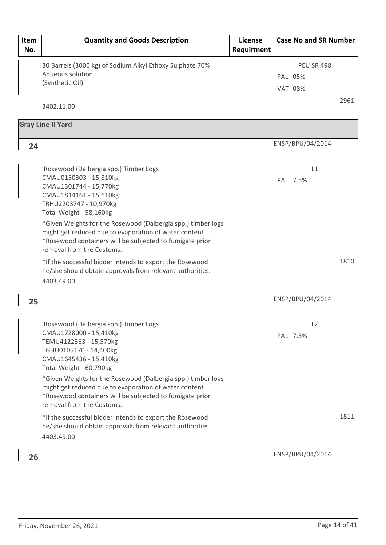| Item<br>No. | <b>Quantity and Goods Description</b>                                                                                                                                                                          | License<br>Requirment | <b>Case No and SR Number</b>                   |      |
|-------------|----------------------------------------------------------------------------------------------------------------------------------------------------------------------------------------------------------------|-----------------------|------------------------------------------------|------|
|             | 30 Barrels (3000 kg) of Sodium Alkyl Ethoxy Sulphate 70%<br>Aqueous solution<br>(Synthetic Oil)                                                                                                                |                       | <b>PEU SR 498</b><br>PAL 05%<br><b>VAT 08%</b> |      |
|             | 3402.11.00                                                                                                                                                                                                     |                       |                                                | 2961 |
|             | <b>Gray Line II Yard</b>                                                                                                                                                                                       |                       |                                                |      |
| 24          |                                                                                                                                                                                                                |                       | ENSP/BPU/04/2014                               |      |
|             | Rosewood (Dalbergia spp.) Timber Logs<br>CMAU0150303 - 15,810kg<br>CMAU1301744 - 15,770kg<br>CMAU1814161 - 15,610kg<br>TRHU2203747 - 10,970kg<br>Total Weight - 58,160kg                                       |                       | L1<br>PAL 7.5%                                 |      |
|             | *Given Weights for the Rosewood (Dalbergia spp.) timber logs<br>might get reduced due to evaporation of water content<br>*Rosewood containers will be subjected to fumigate prior<br>removal from the Customs. |                       |                                                |      |
|             | *If the successful bidder intends to export the Rosewood<br>he/she should obtain approvals from relevant authorities.<br>4403.49.00                                                                            |                       |                                                | 1810 |
| 25          |                                                                                                                                                                                                                |                       | ENSP/BPU/04/2014                               |      |
|             | Rosewood (Dalbergia spp.) Timber Logs<br>CMAU1728000 - 15,410kg<br>TEMU4122363 - 15,570kg<br>TGHU0105170 - 14,400kg<br>CMAU1645436 - 15,410kg<br>Total Weight - 60,790kg                                       |                       | L2<br>PAL 7.5%                                 |      |
|             | *Given Weights for the Rosewood (Dalbergia spp.) timber logs<br>might get reduced due to evaporation of water content<br>*Rosewood containers will be subjected to fumigate prior<br>removal from the Customs. |                       |                                                |      |
|             | *If the successful bidder intends to export the Rosewood<br>he/she should obtain approvals from relevant authorities.<br>4403.49.00                                                                            |                       |                                                | 1811 |
| 26          |                                                                                                                                                                                                                |                       | ENSP/BPU/04/2014                               |      |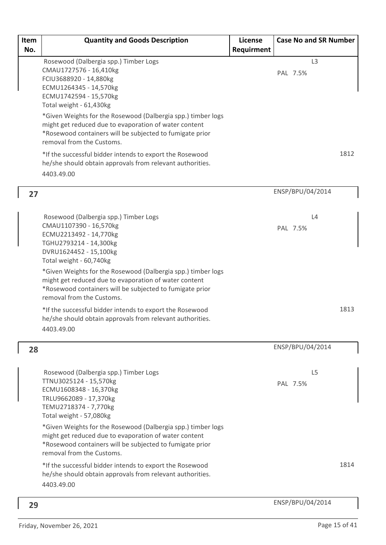| Item<br>No. | <b>Quantity and Goods Description</b>                                                                                                                                                                                                                                                                                                                                                                                                                                                                               | License<br>Requirment | <b>Case No and SR Number</b> |      |
|-------------|---------------------------------------------------------------------------------------------------------------------------------------------------------------------------------------------------------------------------------------------------------------------------------------------------------------------------------------------------------------------------------------------------------------------------------------------------------------------------------------------------------------------|-----------------------|------------------------------|------|
|             | Rosewood (Dalbergia spp.) Timber Logs<br>CMAU1727576 - 16,410kg<br>FCIU3688920 - 14,880kg<br>ECMU1264345 - 14,570kg<br>ECMU1742594 - 15,570kg<br>Total weight - 61,430kg<br>*Given Weights for the Rosewood (Dalbergia spp.) timber logs<br>might get reduced due to evaporation of water content<br>*Rosewood containers will be subjected to fumigate prior<br>removal from the Customs.<br>*If the successful bidder intends to export the Rosewood<br>he/she should obtain approvals from relevant authorities. |                       | L <sub>3</sub><br>PAL 7.5%   | 1812 |
|             | 4403.49.00                                                                                                                                                                                                                                                                                                                                                                                                                                                                                                          |                       |                              |      |
| 27          |                                                                                                                                                                                                                                                                                                                                                                                                                                                                                                                     |                       | ENSP/BPU/04/2014             |      |
|             | Rosewood (Dalbergia spp.) Timber Logs<br>CMAU1107390 - 16,570kg<br>ECMU2213492 - 14,770kg<br>TGHU2793214 - 14,300kg<br>DVRU1624452 - 15,100kg<br>Total weight - 60,740kg                                                                                                                                                                                                                                                                                                                                            |                       | L4<br>PAL 7.5%               |      |
|             | *Given Weights for the Rosewood (Dalbergia spp.) timber logs<br>might get reduced due to evaporation of water content<br>*Rosewood containers will be subjected to fumigate prior<br>removal from the Customs.                                                                                                                                                                                                                                                                                                      |                       |                              |      |
|             | *If the successful bidder intends to export the Rosewood<br>he/she should obtain approvals from relevant authorities.<br>4403.49.00                                                                                                                                                                                                                                                                                                                                                                                 |                       |                              | 1813 |
| 28          |                                                                                                                                                                                                                                                                                                                                                                                                                                                                                                                     |                       | ENSP/BPU/04/2014             |      |
|             | Rosewood (Dalbergia spp.) Timber Logs<br>TTNU3025124 - 15,570kg<br>ECMU1608348 - 16,370kg<br>TRLU9662089 - 17,370kg<br>TEMU2718374 - 7,770kg<br>Total weight - 57,080kg                                                                                                                                                                                                                                                                                                                                             |                       | L <sub>5</sub><br>PAL 7.5%   |      |
|             | *Given Weights for the Rosewood (Dalbergia spp.) timber logs<br>might get reduced due to evaporation of water content<br>*Rosewood containers will be subjected to fumigate prior<br>removal from the Customs.                                                                                                                                                                                                                                                                                                      |                       |                              |      |
|             | *If the successful bidder intends to export the Rosewood<br>he/she should obtain approvals from relevant authorities.<br>4403.49.00                                                                                                                                                                                                                                                                                                                                                                                 |                       |                              | 1814 |
| 29          |                                                                                                                                                                                                                                                                                                                                                                                                                                                                                                                     |                       | ENSP/BPU/04/2014             |      |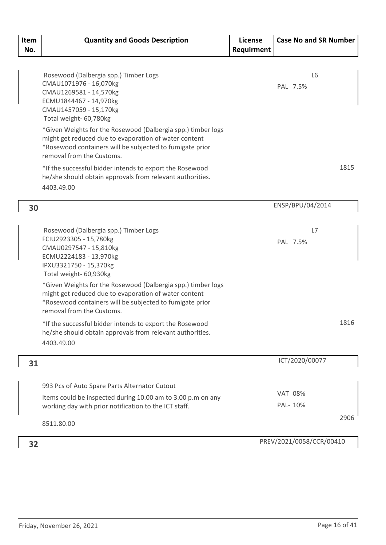| Item<br>No. | <b>Quantity and Goods Description</b>                                                                                                                                                                          | License<br>Requirment | <b>Case No and SR Number</b> |  |
|-------------|----------------------------------------------------------------------------------------------------------------------------------------------------------------------------------------------------------------|-----------------------|------------------------------|--|
|             |                                                                                                                                                                                                                |                       |                              |  |
|             | Rosewood (Dalbergia spp.) Timber Logs<br>CMAU1071976 - 16,070kg<br>CMAU1269581 - 14,570kg<br>ECMU1844467 - 14,970kg<br>CMAU1457059 - 15,170kg<br>Total weight- 60,780kg                                        |                       | L <sub>6</sub><br>PAL 7.5%   |  |
|             | *Given Weights for the Rosewood (Dalbergia spp.) timber logs<br>might get reduced due to evaporation of water content<br>*Rosewood containers will be subjected to fumigate prior<br>removal from the Customs. |                       |                              |  |
|             | *If the successful bidder intends to export the Rosewood<br>he/she should obtain approvals from relevant authorities.<br>4403.49.00                                                                            |                       | 1815                         |  |
| 30          |                                                                                                                                                                                                                |                       | ENSP/BPU/04/2014             |  |
|             | Rosewood (Dalbergia spp.) Timber Logs<br>FCIU2923305 - 15,780kg<br>CMAU0297547 - 15,810kg<br>ECMU2224183 - 13,970kg                                                                                            |                       | L7<br>PAL 7.5%               |  |
|             | IPXU3321750 - 15,370kg<br>Total weight- 60,930kg<br>*Given Weights for the Rosewood (Dalbergia spp.) timber logs                                                                                               |                       |                              |  |
|             | might get reduced due to evaporation of water content<br>*Rosewood containers will be subjected to fumigate prior<br>removal from the Customs.                                                                 |                       |                              |  |
|             | *If the successful bidder intends to export the Rosewood<br>he/she should obtain approvals from relevant authorities.<br>4403.49.00                                                                            |                       | 1816                         |  |
| 31          |                                                                                                                                                                                                                |                       | ICT/2020/00077               |  |
|             | 993 Pcs of Auto Spare Parts Alternator Cutout                                                                                                                                                                  |                       |                              |  |
|             | Items could be inspected during 10.00 am to 3.00 p.m on any<br>working day with prior notification to the ICT staff.                                                                                           |                       | <b>VAT 08%</b><br>PAL- 10%   |  |
|             | 8511.80.00                                                                                                                                                                                                     |                       | 2906                         |  |
| 32          |                                                                                                                                                                                                                |                       | PREV/2021/0058/CCR/00410     |  |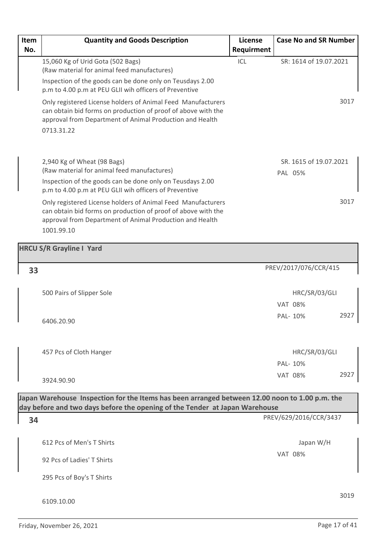| Item | <b>Quantity and Goods Description</b>                                                                                                                                                                   | License    | <b>Case No and SR Number</b>      |      |
|------|---------------------------------------------------------------------------------------------------------------------------------------------------------------------------------------------------------|------------|-----------------------------------|------|
| No.  |                                                                                                                                                                                                         | Requirment |                                   |      |
|      | 15,060 Kg of Urid Gota (502 Bags)<br>(Raw material for animal feed manufactures)                                                                                                                        | ICL        | SR: 1614 of 19.07.2021            |      |
|      | Inspection of the goods can be done only on Teusdays 2.00<br>p.m to 4.00 p.m at PEU GLII wih officers of Preventive                                                                                     |            |                                   |      |
|      | Only registered License holders of Animal Feed Manufacturers<br>can obtain bid forms on production of proof of above with the<br>approval from Department of Animal Production and Health<br>0713.31.22 |            |                                   | 3017 |
|      | 2,940 Kg of Wheat (98 Bags)<br>(Raw material for animal feed manufactures)                                                                                                                              |            | SR. 1615 of 19.07.2021<br>PAL 05% |      |
|      | Inspection of the goods can be done only on Teusdays 2.00<br>p.m to 4.00 p.m at PEU GLII wih officers of Preventive                                                                                     |            |                                   |      |
|      | Only registered License holders of Animal Feed Manufacturers<br>can obtain bid forms on production of proof of above with the<br>approval from Department of Animal Production and Health               |            |                                   | 3017 |
|      | 1001.99.10                                                                                                                                                                                              |            |                                   |      |
|      | <b>HRCU S/R Grayline I Yard</b>                                                                                                                                                                         |            |                                   |      |
|      |                                                                                                                                                                                                         |            |                                   |      |
| 33   |                                                                                                                                                                                                         |            | PREV/2017/076/CCR/415             |      |
|      |                                                                                                                                                                                                         |            |                                   |      |
|      | 500 Pairs of Slipper Sole                                                                                                                                                                               |            | HRC/SR/03/GLI                     |      |
|      |                                                                                                                                                                                                         |            | <b>VAT 08%</b>                    |      |
|      | 6406.20.90                                                                                                                                                                                              |            | PAL-10%                           | 2927 |
|      |                                                                                                                                                                                                         |            |                                   |      |
|      |                                                                                                                                                                                                         |            |                                   |      |
|      | 457 Pcs of Cloth Hanger                                                                                                                                                                                 |            | HRC/SR/03/GLI<br>PAL- 10%         |      |
|      |                                                                                                                                                                                                         |            | <b>VAT 08%</b>                    | 2927 |
|      | 3924.90.90                                                                                                                                                                                              |            |                                   |      |
|      | Japan Warehouse Inspection for the Items has been arranged between 12.00 noon to 1.00 p.m. the                                                                                                          |            |                                   |      |
|      | day before and two days before the opening of the Tender at Japan Warehouse                                                                                                                             |            |                                   |      |
| 34   |                                                                                                                                                                                                         |            | PREV/629/2016/CCR/3437            |      |
|      |                                                                                                                                                                                                         |            |                                   |      |
|      | 612 Pcs of Men's T Shirts                                                                                                                                                                               |            | Japan W/H                         |      |
|      | 92 Pcs of Ladies' T Shirts                                                                                                                                                                              |            | <b>VAT 08%</b>                    |      |
|      | 295 Pcs of Boy's T Shirts                                                                                                                                                                               |            |                                   |      |
|      | 6109.10.00                                                                                                                                                                                              |            |                                   | 3019 |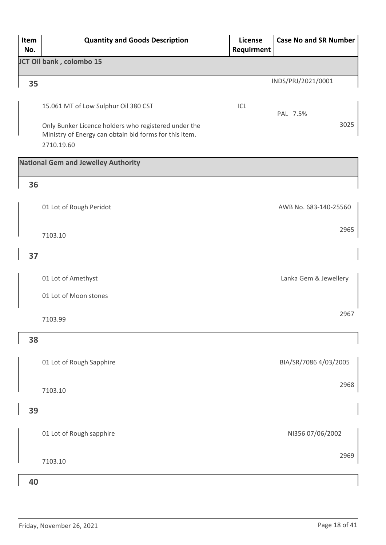| Item<br>No. | <b>Quantity and Goods Description</b>                                                                          | License<br>Requirment | <b>Case No and SR Number</b> |
|-------------|----------------------------------------------------------------------------------------------------------------|-----------------------|------------------------------|
|             | JCT Oil bank, colombo 15                                                                                       |                       |                              |
| 35          |                                                                                                                |                       | INDS/PRJ/2021/0001           |
|             |                                                                                                                |                       |                              |
|             | 15.061 MT of Low Sulphur Oil 380 CST                                                                           | ICL                   | PAL 7.5%                     |
|             | Only Bunker Licence holders who registered under the<br>Ministry of Energy can obtain bid forms for this item. |                       | 3025                         |
|             | 2710.19.60                                                                                                     |                       |                              |
|             | <b>National Gem and Jewelley Authority</b>                                                                     |                       |                              |
| 36          |                                                                                                                |                       |                              |
|             | 01 Lot of Rough Peridot                                                                                        |                       | AWB No. 683-140-25560        |
|             |                                                                                                                |                       |                              |
|             | 7103.10                                                                                                        |                       | 2965                         |
| 37          |                                                                                                                |                       |                              |
|             | 01 Lot of Amethyst                                                                                             |                       | Lanka Gem & Jewellery        |
|             | 01 Lot of Moon stones                                                                                          |                       |                              |
|             |                                                                                                                |                       | 2967                         |
|             | 7103.99                                                                                                        |                       |                              |
| 38          |                                                                                                                |                       |                              |
|             | 01 Lot of Rough Sapphire                                                                                       |                       | BIA/SR/7086 4/03/2005        |
|             |                                                                                                                |                       |                              |
|             | 7103.10                                                                                                        |                       | 2968                         |
| 39          |                                                                                                                |                       |                              |
|             | 01 Lot of Rough sapphire                                                                                       |                       | NI356 07/06/2002             |
|             |                                                                                                                |                       |                              |
|             | 7103.10                                                                                                        |                       | 2969                         |
| 40          |                                                                                                                |                       |                              |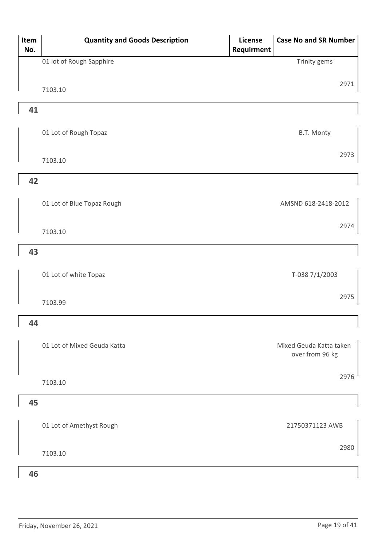| Item<br>No. | <b>Quantity and Goods Description</b> | License<br>Requirment | <b>Case No and SR Number</b>               |
|-------------|---------------------------------------|-----------------------|--------------------------------------------|
|             | 01 lot of Rough Sapphire              |                       | Trinity gems                               |
|             | 7103.10                               |                       | 2971                                       |
| 41          |                                       |                       |                                            |
|             | 01 Lot of Rough Topaz                 |                       | B.T. Monty                                 |
|             | 7103.10                               |                       | 2973                                       |
| 42          |                                       |                       |                                            |
|             | 01 Lot of Blue Topaz Rough            |                       | AMSND 618-2418-2012                        |
|             | 7103.10                               |                       | 2974                                       |
| 43          |                                       |                       |                                            |
|             | 01 Lot of white Topaz                 |                       | T-038 7/1/2003                             |
|             | 7103.99                               |                       | 2975                                       |
| 44          |                                       |                       |                                            |
|             | 01 Lot of Mixed Geuda Katta           |                       | Mixed Geuda Katta taken<br>over from 96 kg |
|             | 7103.10                               |                       | 2976                                       |
| 45          |                                       |                       |                                            |
|             | 01 Lot of Amethyst Rough              |                       | 21750371123 AWB                            |
|             | 7103.10                               |                       | 2980                                       |
| 46          |                                       |                       |                                            |

#### Friday, November 26, 2021 **Page 19 of 41**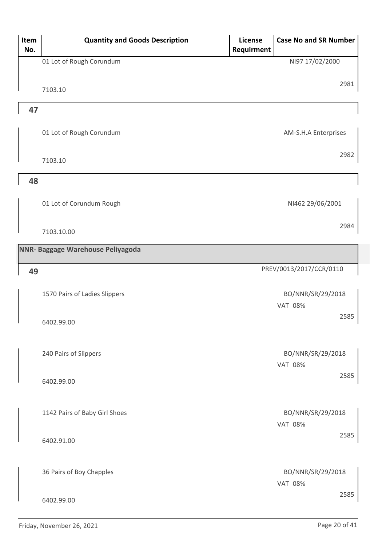| Item<br>No. | <b>Quantity and Goods Description</b> | License<br>Requirment | <b>Case No and SR Number</b>        |      |
|-------------|---------------------------------------|-----------------------|-------------------------------------|------|
|             | 01 Lot of Rough Corundum              |                       | NI97 17/02/2000                     |      |
|             |                                       |                       |                                     | 2981 |
|             | 7103.10                               |                       |                                     |      |
| 47          |                                       |                       |                                     |      |
|             | 01 Lot of Rough Corundum              |                       | AM-S.H.A Enterprises                |      |
|             | 7103.10                               |                       |                                     | 2982 |
| 48          |                                       |                       |                                     |      |
|             | 01 Lot of Corundum Rough              |                       | NI462 29/06/2001                    |      |
|             | 7103.10.00                            |                       |                                     | 2984 |
|             | NNR- Baggage Warehouse Peliyagoda     |                       |                                     |      |
| 49          |                                       |                       | PREV/0013/2017/CCR/0110             |      |
|             | 1570 Pairs of Ladies Slippers         |                       | BO/NNR/SR/29/2018<br><b>VAT 08%</b> |      |
|             | 6402.99.00                            |                       |                                     | 2585 |
|             | 240 Pairs of Slippers                 |                       | BO/NNR/SR/29/2018<br><b>VAT 08%</b> |      |
|             | 6402.99.00                            |                       |                                     | 2585 |
|             | 1142 Pairs of Baby Girl Shoes         |                       | BO/NNR/SR/29/2018<br><b>VAT 08%</b> |      |
|             | 6402.91.00                            |                       |                                     | 2585 |
|             | 36 Pairs of Boy Chapples              |                       | BO/NNR/SR/29/2018<br><b>VAT 08%</b> |      |
|             | 6402.99.00                            |                       |                                     | 2585 |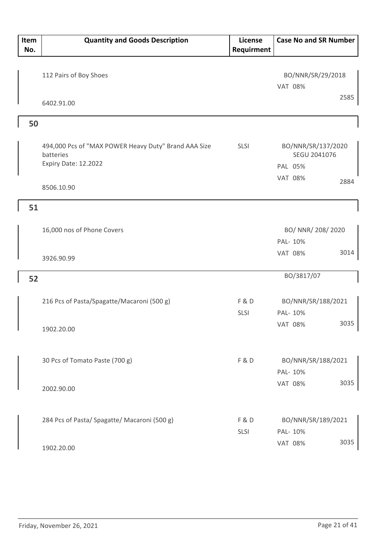| Item<br>No. | <b>Quantity and Goods Description</b>                                                     | <b>License</b><br>Requirment | <b>Case No and SR Number</b>                  |
|-------------|-------------------------------------------------------------------------------------------|------------------------------|-----------------------------------------------|
|             | 112 Pairs of Boy Shoes                                                                    |                              | BO/NNR/SR/29/2018<br><b>VAT 08%</b>           |
|             | 6402.91.00                                                                                |                              | 2585                                          |
| 50          |                                                                                           |                              |                                               |
|             | 494,000 Pcs of "MAX POWER Heavy Duty" Brand AAA Size<br>batteries<br>Expiry Date: 12.2022 | <b>SLSI</b>                  | BO/NNR/SR/137/2020<br>SEGU 2041076<br>PAL 05% |
|             | 8506.10.90                                                                                |                              | <b>VAT 08%</b><br>2884                        |
| 51          |                                                                                           |                              |                                               |
|             | 16,000 nos of Phone Covers                                                                |                              | BO/ NNR/ 208/ 2020<br>PAL- 10%                |
|             | 3926.90.99                                                                                |                              | 3014<br><b>VAT 08%</b>                        |
| 52          |                                                                                           |                              | BO/3817/07                                    |
|             | 216 Pcs of Pasta/Spagatte/Macaroni (500 g)                                                | <b>F&amp;D</b><br>SLSI       | BO/NNR/SR/188/2021<br>PAL- 10%                |
|             | 1902.20.00                                                                                |                              | 3035<br>VAT 08%                               |
|             | 30 Pcs of Tomato Paste (700 g)                                                            | F&D                          | BO/NNR/SR/188/2021<br>PAL- 10%                |
|             | 2002.90.00                                                                                |                              | 3035<br><b>VAT 08%</b>                        |
|             | 284 Pcs of Pasta/ Spagatte/ Macaroni (500 g)                                              | F&D<br>SLSI                  | BO/NNR/SR/189/2021<br>PAL- 10%                |
|             | 1902.20.00                                                                                |                              | 3035<br><b>VAT 08%</b>                        |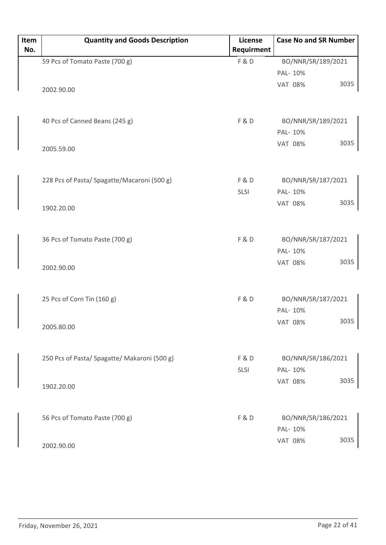| Item<br>No. | <b>Quantity and Goods Description</b>        | License<br>Requirment | <b>Case No and SR Number</b>       |
|-------------|----------------------------------------------|-----------------------|------------------------------------|
|             | 59 Pcs of Tomato Paste (700 g)               | F&D                   | BO/NNR/SR/189/2021                 |
|             |                                              |                       | PAL- 10%                           |
|             | 2002.90.00                                   |                       | 3035<br><b>VAT 08%</b>             |
|             | 40 Pcs of Canned Beans (245 g)               | F&D                   | BO/NNR/SR/189/2021<br>PAL- 10%     |
|             | 2005.59.00                                   |                       | 3035<br><b>VAT 08%</b>             |
|             | 228 Pcs of Pasta/ Spagatte/Macaroni (500 g)  | F&D                   | BO/NNR/SR/187/2021                 |
|             |                                              | SLSI                  | PAL- 10%                           |
|             | 1902.20.00                                   |                       | 3035<br><b>VAT 08%</b>             |
|             | 36 Pcs of Tomato Paste (700 g)               | <b>F&amp;D</b>        | BO/NNR/SR/187/2021<br>PAL- 10%     |
|             | 2002.90.00                                   |                       | 3035<br><b>VAT 08%</b>             |
|             | 25 Pcs of Corn Tin (160 g)                   | F&D                   | BO/NNR/SR/187/2021                 |
|             | 2005.80.00                                   |                       | PAL- 10%<br>3035<br><b>VAT 08%</b> |
|             | 250 Pcs of Pasta/ Spagatte/ Makaroni (500 g) | F&D                   | BO/NNR/SR/186/2021                 |
|             | 1902.20.00                                   | SLSI                  | PAL- 10%<br>3035<br><b>VAT 08%</b> |
|             | 56 Pcs of Tomato Paste (700 g)               | F&D                   | BO/NNR/SR/186/2021<br>PAL- 10%     |
|             | 2002.90.00                                   |                       | 3035<br><b>VAT 08%</b>             |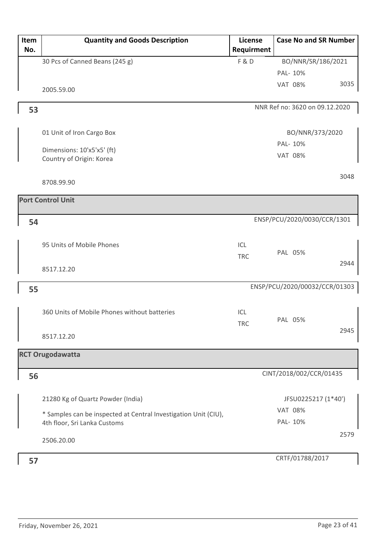| Item<br>No. | <b>Quantity and Goods Description</b>                                                           | License<br>Requirment | <b>Case No and SR Number</b>   |      |
|-------------|-------------------------------------------------------------------------------------------------|-----------------------|--------------------------------|------|
|             | 30 Pcs of Canned Beans (245 g)                                                                  | <b>F&amp;D</b>        | BO/NNR/SR/186/2021             |      |
|             |                                                                                                 |                       | PAL- 10%                       |      |
|             | 2005.59.00                                                                                      |                       | <b>VAT 08%</b>                 | 3035 |
| 53          |                                                                                                 |                       | NNR Ref no: 3620 on 09.12.2020 |      |
|             | 01 Unit of Iron Cargo Box                                                                       |                       | BO/NNR/373/2020                |      |
|             | Dimensions: 10'x5'x5' (ft)<br>Country of Origin: Korea                                          |                       | PAL- 10%<br><b>VAT 08%</b>     |      |
|             | 8708.99.90                                                                                      |                       |                                | 3048 |
|             | <b>Port Control Unit</b>                                                                        |                       |                                |      |
| 54          |                                                                                                 |                       | ENSP/PCU/2020/0030/CCR/1301    |      |
|             | 95 Units of Mobile Phones                                                                       | ICL<br><b>TRC</b>     | PAL 05%                        |      |
|             | 8517.12.20                                                                                      |                       |                                | 2944 |
| 55          |                                                                                                 |                       | ENSP/PCU/2020/00032/CCR/01303  |      |
|             | 360 Units of Mobile Phones without batteries                                                    | ICL<br><b>TRC</b>     | PAL 05%                        |      |
|             | 8517.12.20                                                                                      |                       |                                | 2945 |
|             | <b>RCT Orugodawatta</b>                                                                         |                       |                                |      |
| 56          |                                                                                                 |                       | CINT/2018/002/CCR/01435        |      |
|             | 21280 Kg of Quartz Powder (India)                                                               |                       | JFSU0225217 (1*40')            |      |
|             | * Samples can be inspected at Central Investigation Unit (CIU),<br>4th floor, Sri Lanka Customs |                       | <b>VAT 08%</b><br>PAL- 10%     |      |
|             | 2506.20.00                                                                                      |                       |                                | 2579 |
| 57          |                                                                                                 |                       | CRTF/01788/2017                |      |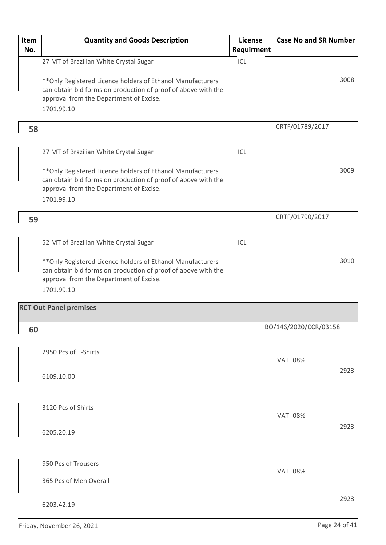| Item<br>No. | <b>Quantity and Goods Description</b>                                                                                                                                                 | License<br>Requirment | <b>Case No and SR Number</b> |  |
|-------------|---------------------------------------------------------------------------------------------------------------------------------------------------------------------------------------|-----------------------|------------------------------|--|
|             | 27 MT of Brazilian White Crystal Sugar                                                                                                                                                | ICL                   |                              |  |
|             | ** Only Registered Licence holders of Ethanol Manufacturers<br>can obtain bid forms on production of proof of above with the<br>approval from the Department of Excise.<br>1701.99.10 |                       | 3008                         |  |
| 58          |                                                                                                                                                                                       |                       | CRTF/01789/2017              |  |
|             | 27 MT of Brazilian White Crystal Sugar                                                                                                                                                | ICL                   |                              |  |
|             | ** Only Registered Licence holders of Ethanol Manufacturers<br>can obtain bid forms on production of proof of above with the<br>approval from the Department of Excise.<br>1701.99.10 |                       | 3009                         |  |
| 59          |                                                                                                                                                                                       |                       | CRTF/01790/2017              |  |
|             |                                                                                                                                                                                       |                       |                              |  |
|             | 52 MT of Brazilian White Crystal Sugar                                                                                                                                                | ICL                   |                              |  |
|             | ** Only Registered Licence holders of Ethanol Manufacturers<br>can obtain bid forms on production of proof of above with the<br>approval from the Department of Excise.<br>1701.99.10 |                       | 3010                         |  |
|             | <b>RCT Out Panel premises</b>                                                                                                                                                         |                       |                              |  |
| 60          |                                                                                                                                                                                       |                       | BO/146/2020/CCR/03158        |  |
|             | 2950 Pcs of T-Shirts                                                                                                                                                                  |                       | <b>VAT 08%</b>               |  |
|             | 6109.10.00                                                                                                                                                                            |                       | 2923                         |  |
|             |                                                                                                                                                                                       |                       |                              |  |
|             | 3120 Pcs of Shirts                                                                                                                                                                    |                       | <b>VAT 08%</b>               |  |
|             | 6205.20.19                                                                                                                                                                            |                       | 2923                         |  |
|             | 950 Pcs of Trousers                                                                                                                                                                   |                       |                              |  |
|             | 365 Pcs of Men Overall                                                                                                                                                                |                       | <b>VAT 08%</b>               |  |
|             | 6203.42.19                                                                                                                                                                            |                       | 2923                         |  |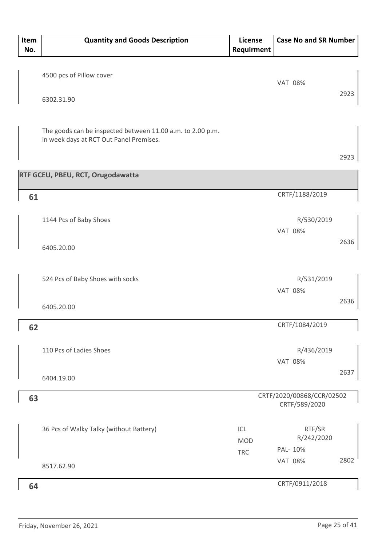| Item<br>No. | <b>Quantity and Goods Description</b>                      | License<br>Requirment | <b>Case No and SR Number</b> |      |
|-------------|------------------------------------------------------------|-----------------------|------------------------------|------|
|             |                                                            |                       |                              |      |
|             | 4500 pcs of Pillow cover                                   |                       | <b>VAT 08%</b>               |      |
|             | 6302.31.90                                                 |                       |                              | 2923 |
|             |                                                            |                       |                              |      |
|             | The goods can be inspected between 11.00 a.m. to 2.00 p.m. |                       |                              |      |
|             | in week days at RCT Out Panel Premises.                    |                       |                              |      |
|             |                                                            |                       |                              | 2923 |
|             | RTF GCEU, PBEU, RCT, Orugodawatta                          |                       |                              |      |
| 61          |                                                            |                       | CRTF/1188/2019               |      |
|             |                                                            |                       |                              |      |
|             | 1144 Pcs of Baby Shoes                                     |                       | R/530/2019<br><b>VAT 08%</b> |      |
|             | 6405.20.00                                                 |                       |                              | 2636 |
|             |                                                            |                       |                              |      |
|             | 524 Pcs of Baby Shoes with socks                           |                       | R/531/2019                   |      |
|             |                                                            |                       | <b>VAT 08%</b>               |      |
|             | 6405.20.00                                                 |                       |                              | 2636 |
| 62          |                                                            |                       | CRTF/1084/2019               |      |
|             | 110 Pcs of Ladies Shoes                                    |                       | R/436/2019                   |      |
|             |                                                            |                       | <b>VAT 08%</b>               |      |
|             | 6404.19.00                                                 |                       |                              | 2637 |
| 63          |                                                            |                       | CRTF/2020/00868/CCR/02502    |      |
|             |                                                            |                       | CRTF/589/2020                |      |
|             | 36 Pcs of Walky Talky (without Battery)                    | ICL                   | RTF/SR                       |      |
|             |                                                            | <b>MOD</b>            | R/242/2020<br>PAL- 10%       |      |
|             | 8517.62.90                                                 | <b>TRC</b>            | <b>VAT 08%</b>               | 2802 |
|             |                                                            |                       |                              |      |
| 64          |                                                            |                       | CRTF/0911/2018               |      |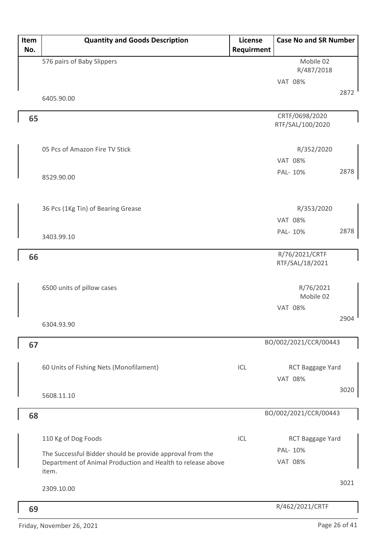| Item | <b>Quantity and Goods Description</b>                                | <b>License</b> | <b>Case No and SR Number</b>       |      |
|------|----------------------------------------------------------------------|----------------|------------------------------------|------|
| No.  |                                                                      | Requirment     |                                    |      |
|      | 576 pairs of Baby Slippers                                           |                | Mobile 02                          |      |
|      |                                                                      |                | R/487/2018                         |      |
|      |                                                                      |                | <b>VAT 08%</b>                     |      |
|      | 6405.90.00                                                           |                |                                    | 2872 |
|      |                                                                      |                |                                    |      |
| 65   |                                                                      |                | CRTF/0698/2020<br>RTF/SAL/100/2020 |      |
|      |                                                                      |                |                                    |      |
|      | 05 Pcs of Amazon Fire TV Stick                                       |                | R/352/2020                         |      |
|      |                                                                      |                | <b>VAT 08%</b>                     |      |
|      |                                                                      |                | PAL- 10%                           | 2878 |
|      | 8529.90.00                                                           |                |                                    |      |
|      |                                                                      |                |                                    |      |
|      | 36 Pcs (1Kg Tin) of Bearing Grease                                   |                | R/353/2020                         |      |
|      |                                                                      |                | <b>VAT 08%</b>                     |      |
|      |                                                                      |                | PAL- 10%                           | 2878 |
|      | 3403.99.10                                                           |                |                                    |      |
| 66   |                                                                      |                | R/76/2021/CRTF                     |      |
|      |                                                                      |                | RTF/SAL/18/2021                    |      |
|      |                                                                      |                |                                    |      |
|      | 6500 units of pillow cases                                           |                | R/76/2021                          |      |
|      |                                                                      |                | Mobile 02                          |      |
|      |                                                                      |                | <b>VAT 08%</b>                     |      |
|      | 6304.93.90                                                           |                |                                    | 2904 |
|      |                                                                      |                |                                    |      |
| 67   |                                                                      |                | BO/002/2021/CCR/00443              |      |
|      |                                                                      |                |                                    |      |
|      | 60 Units of Fishing Nets (Monofilament)                              | ICL            | RCT Baggage Yard                   |      |
|      |                                                                      |                | <b>VAT 08%</b>                     |      |
|      | 5608.11.10                                                           |                |                                    | 3020 |
|      |                                                                      |                |                                    |      |
| 68   |                                                                      |                | BO/002/2021/CCR/00443              |      |
|      |                                                                      |                |                                    |      |
|      | 110 Kg of Dog Foods                                                  | ICL            | RCT Baggage Yard                   |      |
|      | The Successful Bidder should be provide approval from the            |                | PAL- 10%                           |      |
|      | Department of Animal Production and Health to release above<br>item. |                | <b>VAT 08%</b>                     |      |
|      |                                                                      |                |                                    | 3021 |
|      | 2309.10.00                                                           |                |                                    |      |
|      |                                                                      |                | R/462/2021/CRTF                    |      |
| 69   |                                                                      |                |                                    |      |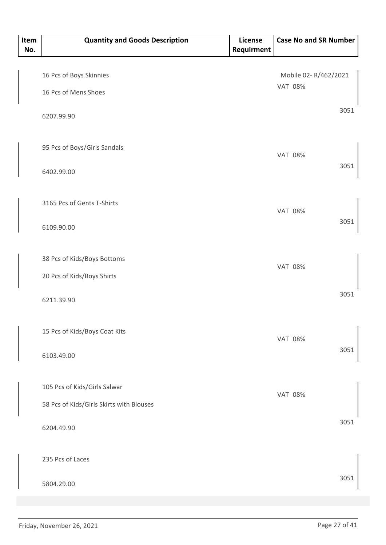| Item<br>No. | <b>Quantity and Goods Description</b>           | License<br>Requirment | <b>Case No and SR Number</b>           |
|-------------|-------------------------------------------------|-----------------------|----------------------------------------|
|             | 16 Pcs of Boys Skinnies<br>16 Pcs of Mens Shoes |                       | Mobile 02-R/462/2021<br><b>VAT 08%</b> |
|             | 6207.99.90                                      |                       | 3051                                   |
|             | 95 Pcs of Boys/Girls Sandals                    |                       | <b>VAT 08%</b>                         |
|             | 6402.99.00                                      |                       | 3051                                   |
|             | 3165 Pcs of Gents T-Shirts                      |                       | <b>VAT 08%</b>                         |
|             | 6109.90.00                                      |                       | 3051                                   |
|             | 38 Pcs of Kids/Boys Bottoms                     |                       | <b>VAT 08%</b>                         |
|             | 20 Pcs of Kids/Boys Shirts                      |                       |                                        |
|             | 6211.39.90                                      |                       | 3051                                   |
|             | 15 Pcs of Kids/Boys Coat Kits                   |                       | <b>VAT 08%</b>                         |
|             | 6103.49.00                                      |                       | 3051                                   |
|             | 105 Pcs of Kids/Girls Salwar                    |                       | <b>VAT 08%</b>                         |
|             | 58 Pcs of Kids/Girls Skirts with Blouses        |                       |                                        |
|             | 6204.49.90                                      |                       | 3051                                   |
|             | 235 Pcs of Laces                                |                       |                                        |
|             | 5804.29.00                                      |                       | 3051                                   |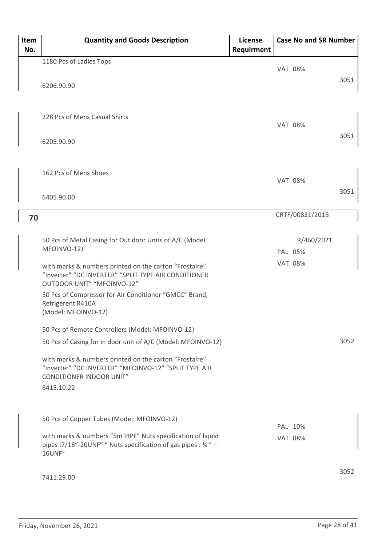| Item<br>No. | <b>Quantity and Goods Description</b>                                                                                                              | <b>License</b><br>Requirment | <b>Case No and SR Number</b> |      |
|-------------|----------------------------------------------------------------------------------------------------------------------------------------------------|------------------------------|------------------------------|------|
|             | 1180 Pcs of Ladies Tops                                                                                                                            |                              |                              |      |
|             | 6206.90.90                                                                                                                                         |                              | <b>VAT 08%</b>               | 3051 |
|             | 228 Pcs of Mens Casual Shirts                                                                                                                      |                              | <b>VAT 08%</b>               |      |
|             | 6205.90.90                                                                                                                                         |                              |                              | 3051 |
|             | 162 Pcs of Mens Shoes                                                                                                                              |                              | <b>VAT 08%</b>               |      |
|             | 6405.90.00                                                                                                                                         |                              |                              | 3051 |
| 70          |                                                                                                                                                    |                              | CRTF/00831/2018              |      |
|             |                                                                                                                                                    |                              |                              |      |
|             | 50 Pcs of Metal Casing for Out door Units of A/C (Model:                                                                                           |                              | R/460/2021                   |      |
|             | MFOINVO-12)                                                                                                                                        |                              | PAL 05%                      |      |
|             | with marks & numbers printed on the carton "Frostaire"<br>"Inverter" "DC INVERTER" "SPLIT TYPE AIR CONDITIONER<br>OUTDOOR UNIT" "MFOINVO-12"       |                              | <b>VAT 08%</b>               |      |
|             | 50 Pcs of Compressor for Air Conditioner "GMCC" Brand,<br>Refrigerent R410A<br>(Model: MFOINVO-12)                                                 |                              |                              |      |
|             | 50 Pcs of Remote Controllers (Model: MFOINVO-12)                                                                                                   |                              |                              |      |
|             | 50 Pcs of Casing for in door unit of A/C (Model: MFOINVO-12)                                                                                       |                              |                              | 3052 |
|             | with marks & numbers printed on the carton "Frostaire"<br>"Inverter" "DC INVERTER" "MFOINVO-12" "SPLIT TYPE AIR<br><b>CONDITIONER INDOOR UNIT"</b> |                              |                              |      |
|             | 8415.10.22                                                                                                                                         |                              |                              |      |
|             | 50 Pcs of Copper Tubes (Model: MFOINVO-12)                                                                                                         |                              |                              |      |
|             |                                                                                                                                                    |                              | PAL-10%                      |      |
|             | with marks & numbers "5m PIPE" Nuts specification of liquid<br>pipes : 7/16"-20UNF" " Nuts specification of gas pipes : 34" -<br><b>16UNF"</b>     |                              | <b>VAT 08%</b>               |      |
|             | 7411.29.00                                                                                                                                         |                              |                              | 3052 |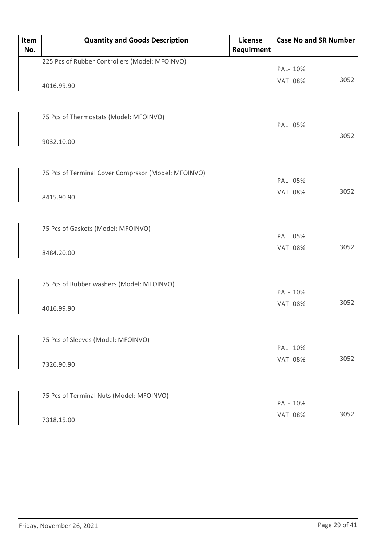| Item<br>No. | <b>Quantity and Goods Description</b>               | License<br>Requirment |                | <b>Case No and SR Number</b> |      |
|-------------|-----------------------------------------------------|-----------------------|----------------|------------------------------|------|
|             | 225 Pcs of Rubber Controllers (Model: MFOINVO)      |                       |                |                              |      |
|             |                                                     |                       | PAL- 10%       |                              |      |
|             |                                                     |                       | <b>VAT 08%</b> |                              | 3052 |
|             | 4016.99.90                                          |                       |                |                              |      |
|             | 75 Pcs of Thermostats (Model: MFOINVO)              |                       |                |                              |      |
|             |                                                     |                       | PAL 05%        |                              |      |
|             | 9032.10.00                                          |                       |                |                              | 3052 |
|             | 75 Pcs of Terminal Cover Comprssor (Model: MFOINVO) |                       |                |                              |      |
|             |                                                     |                       | PAL 05%        |                              |      |
|             | 8415.90.90                                          |                       | <b>VAT 08%</b> |                              | 3052 |
|             |                                                     |                       |                |                              |      |
|             | 75 Pcs of Gaskets (Model: MFOINVO)                  |                       | PAL 05%        |                              |      |
|             | 8484.20.00                                          |                       | <b>VAT 08%</b> |                              | 3052 |
|             |                                                     |                       |                |                              |      |
|             | 75 Pcs of Rubber washers (Model: MFOINVO)           |                       |                |                              |      |
|             |                                                     |                       | PAL- 10%       |                              | 3052 |
|             | 4016.99.90                                          |                       | <b>VAT 08%</b> |                              |      |
|             | 75 Pcs of Sleeves (Model: MFOINVO)                  |                       |                |                              |      |
|             |                                                     |                       | PAL- 10%       |                              |      |
|             | 7326.90.90                                          |                       | <b>VAT 08%</b> |                              | 3052 |
|             |                                                     |                       |                |                              |      |
|             | 75 Pcs of Terminal Nuts (Model: MFOINVO)            |                       | PAL- 10%       |                              |      |
|             |                                                     |                       | <b>VAT 08%</b> |                              | 3052 |
|             | 7318.15.00                                          |                       |                |                              |      |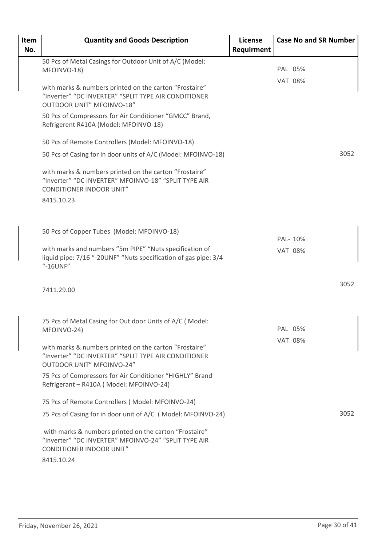| Item | <b>Quantity and Goods Description</b>                                                                                                                           | <b>License</b> | <b>Case No and SR Number</b> |      |
|------|-----------------------------------------------------------------------------------------------------------------------------------------------------------------|----------------|------------------------------|------|
| No.  |                                                                                                                                                                 | Requirment     |                              |      |
|      | 50 Pcs of Metal Casings for Outdoor Unit of A/C (Model:                                                                                                         |                |                              |      |
|      | MFOINVO-18)                                                                                                                                                     |                | PAL 05%                      |      |
|      | with marks & numbers printed on the carton "Frostaire"<br>"Inverter" "DC INVERTER" "SPLIT TYPE AIR CONDITIONER<br><b>OUTDOOR UNIT" MFOINVO-18"</b>              |                | <b>VAT 08%</b>               |      |
|      | 50 Pcs of Compressors for Air Conditioner "GMCC" Brand,<br>Refrigerent R410A (Model: MFOINVO-18)                                                                |                |                              |      |
|      | 50 Pcs of Remote Controllers (Model: MFOINVO-18)                                                                                                                |                |                              |      |
|      | 50 Pcs of Casing for in door units of A/C (Model: MFOINVO-18)                                                                                                   |                |                              | 3052 |
|      | with marks & numbers printed on the carton "Frostaire"<br>"Inverter" "DC INVERTER" MFOINVO-18" "SPLIT TYPE AIR<br><b>CONDITIONER INDOOR UNIT"</b>               |                |                              |      |
|      | 8415.10.23                                                                                                                                                      |                |                              |      |
|      |                                                                                                                                                                 |                |                              |      |
|      | 50 Pcs of Copper Tubes (Model: MFOINVO-18)                                                                                                                      |                | PAL- 10%                     |      |
|      | with marks and numbers "5m PIPE" "Nuts specification of<br>liquid pipe: 7/16 "-20UNF" "Nuts specification of gas pipe: 3/4<br>"-16UNF"                          |                | <b>VAT 08%</b>               |      |
|      | 7411.29.00                                                                                                                                                      |                |                              | 3052 |
|      |                                                                                                                                                                 |                |                              |      |
|      | 75 Pcs of Metal Casing for Out door Units of A/C (Model:<br>MFOINVO-24)                                                                                         |                | PAL 05%                      |      |
|      |                                                                                                                                                                 |                | <b>VAT 08%</b>               |      |
|      | with marks & numbers printed on the carton "Frostaire"<br>"Inverter" "DC INVERTER" "SPLIT TYPE AIR CONDITIONER<br><b>OUTDOOR UNIT" MFOINVO-24"</b>              |                |                              |      |
|      | 75 Pcs of Compressors for Air Conditioner "HIGHLY" Brand<br>Refrigerant - R410A (Model: MFOINVO-24)                                                             |                |                              |      |
|      | 75 Pcs of Remote Controllers (Model: MFOINVO-24)                                                                                                                |                |                              |      |
|      | 75 Pcs of Casing for in door unit of A/C (Model: MFOINVO-24)                                                                                                    |                |                              | 3052 |
|      | with marks & numbers printed on the carton "Frostaire"<br>"Inverter" "DC INVERTER" MFOINVO-24" "SPLIT TYPE AIR<br><b>CONDITIONER INDOOR UNIT"</b><br>8415.10.24 |                |                              |      |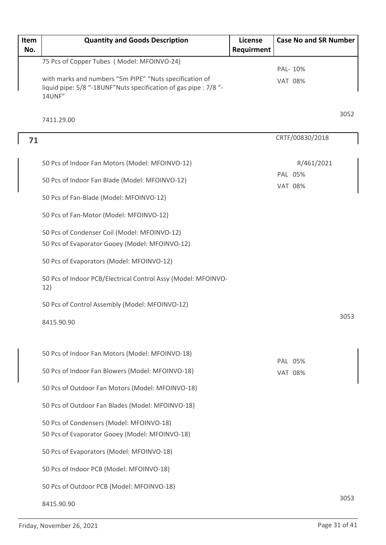| Item | <b>Quantity and Goods Description</b>                                                                                       | License    | <b>Case No and SR Number</b> |      |
|------|-----------------------------------------------------------------------------------------------------------------------------|------------|------------------------------|------|
| No.  |                                                                                                                             | Requirment |                              |      |
|      | 75 Pcs of Copper Tubes (Model: MFOINVO-24)                                                                                  |            | PAL- 10%                     |      |
|      | with marks and numbers "5m PIPE" "Nuts specification of<br>liquid pipe: 5/8 "-18UNF"Nuts specification of gas pipe : 7/8 "- |            | <b>VAT 08%</b>               |      |
|      | 14UNF"                                                                                                                      |            |                              |      |
|      | 7411.29.00                                                                                                                  |            |                              | 3052 |
| 71   |                                                                                                                             |            | CRTF/00830/2018              |      |
|      | 50 Pcs of Indoor Fan Motors (Model: MFOINVO-12)                                                                             |            | R/461/2021                   |      |
|      | 50 Pcs of Indoor Fan Blade (Model: MFOINVO-12)                                                                              |            | PAL 05%<br><b>VAT 08%</b>    |      |
|      | 50 Pcs of Fan-Blade (Model: MFOINVO-12)                                                                                     |            |                              |      |
|      | 50 Pcs of Fan-Motor (Model: MFOINVO-12)                                                                                     |            |                              |      |
|      | 50 Pcs of Condenser Coil (Model: MFOINVO-12)<br>50 Pcs of Evaporator Gooey (Model: MFOINVO-12)                              |            |                              |      |
|      | 50 Pcs of Evaporators (Model: MFOINVO-12)                                                                                   |            |                              |      |
|      | 50 Pcs of Indoor PCB/Electrical Control Assy (Model: MFOINVO-<br>12)                                                        |            |                              |      |
|      | 50 Pcs of Control Assembly (Model: MFOINVO-12)                                                                              |            |                              |      |
|      | 8415.90.90                                                                                                                  |            |                              | 3053 |
|      | 50 Pcs of Indoor Fan Motors (Model: MFOINVO-18)                                                                             |            |                              |      |
|      | 50 Pcs of Indoor Fan Blowers (Model: MFOINVO-18)                                                                            |            | PAL 05%<br><b>VAT 08%</b>    |      |
|      | 50 Pcs of Outdoor Fan Motors (Model: MFOINVO-18)                                                                            |            |                              |      |
|      | 50 Pcs of Outdoor Fan Blades (Model: MFOINVO-18)                                                                            |            |                              |      |
|      | 50 Pcs of Condensers (Model: MFOINVO-18)                                                                                    |            |                              |      |
|      | 50 Pcs of Evaporator Gooey (Model: MFOINVO-18)                                                                              |            |                              |      |
|      | 50 Pcs of Evaporators (Model: MFOINVO-18)                                                                                   |            |                              |      |
|      | 50 Pcs of Indoor PCB (Model: MFOINVO-18)                                                                                    |            |                              |      |
|      | 50 Pcs of Outdoor PCB (Model: MFOINVO-18)                                                                                   |            |                              |      |
|      | 8415.90.90                                                                                                                  |            |                              | 3053 |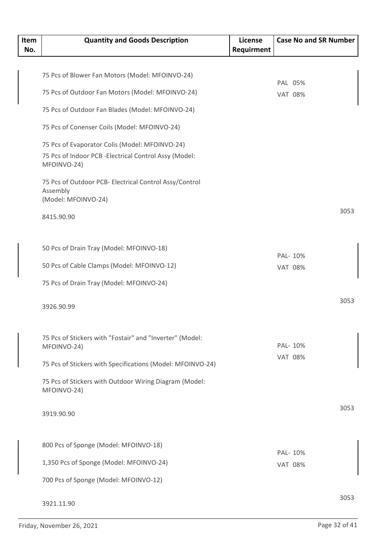| Item<br>No. | <b>Quantity and Goods Description</b>                                 | <b>License</b><br>Requirment | <b>Case No and SR Number</b> |      |
|-------------|-----------------------------------------------------------------------|------------------------------|------------------------------|------|
|             |                                                                       |                              |                              |      |
|             | 75 Pcs of Blower Fan Motors (Model: MFOINVO-24)                       |                              | PAL 05%                      |      |
|             | 75 Pcs of Outdoor Fan Motors (Model: MFOINVO-24)                      |                              | <b>VAT 08%</b>               |      |
|             | 75 Pcs of Outdoor Fan Blades (Model: MFOINVO-24)                      |                              |                              |      |
|             | 75 Pcs of Conenser Coils (Model: MFOINVO-24)                          |                              |                              |      |
|             | 75 Pcs of Evaporator Colis (Model: MFOINVO-24)                        |                              |                              |      |
|             | 75 Pcs of Indoor PCB - Electrical Control Assy (Model:<br>MFOINVO-24) |                              |                              |      |
|             | 75 Pcs of Outdoor PCB- Electrical Control Assy/Control<br>Assembly    |                              |                              |      |
|             | (Model: MFOINVO-24)                                                   |                              |                              |      |
|             | 8415.90.90                                                            |                              |                              | 3053 |
|             | 50 Pcs of Drain Tray (Model: MFOINVO-18)                              |                              |                              |      |
|             | 50 Pcs of Cable Clamps (Model: MFOINVO-12)                            |                              | PAL- 10%                     |      |
|             |                                                                       |                              | <b>VAT 08%</b>               |      |
|             | 75 Pcs of Drain Tray (Model: MFOINVO-24)                              |                              |                              |      |
|             | 3926.90.99                                                            |                              |                              | 3053 |
|             | 75 Pcs of Stickers with "Fostair" and "Inverter" (Model:              |                              |                              |      |
|             | MFOINVO-24)                                                           |                              | PAL- 10%                     |      |
|             | 75 Pcs of Stickers with Specifications (Model: MFOINVO-24)            |                              | <b>VAT 08%</b>               |      |
|             | 75 Pcs of Stickers with Outdoor Wiring Diagram (Model:<br>MFOINVO-24) |                              |                              |      |
|             | 3919.90.90                                                            |                              |                              | 3053 |
|             |                                                                       |                              |                              |      |
|             | 800 Pcs of Sponge (Model: MFOINVO-18)                                 |                              | PAL- 10%                     |      |
|             | 1,350 Pcs of Sponge (Model: MFOINVO-24)                               |                              | <b>VAT 08%</b>               |      |
|             | 700 Pcs of Sponge (Model: MFOINVO-12)                                 |                              |                              |      |
|             | 3921.11.90                                                            |                              |                              | 3053 |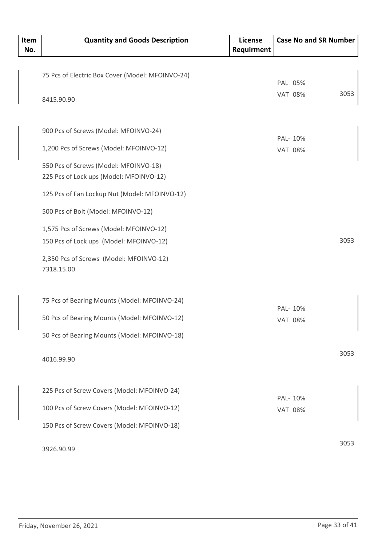| Item<br>No. | <b>Quantity and Goods Description</b>                                              | License<br>Requirment | <b>Case No and SR Number</b> |      |
|-------------|------------------------------------------------------------------------------------|-----------------------|------------------------------|------|
|             |                                                                                    |                       |                              |      |
|             | 75 Pcs of Electric Box Cover (Model: MFOINVO-24)                                   |                       | PAL 05%                      |      |
|             | 8415.90.90                                                                         |                       | <b>VAT 08%</b>               | 3053 |
|             | 900 Pcs of Screws (Model: MFOINVO-24)                                              |                       |                              |      |
|             | 1,200 Pcs of Screws (Model: MFOINVO-12)                                            |                       | PAL- 10%<br><b>VAT 08%</b>   |      |
|             | 550 Pcs of Screws (Model: MFOINVO-18)<br>225 Pcs of Lock ups (Model: MFOINVO-12)   |                       |                              |      |
|             | 125 Pcs of Fan Lockup Nut (Model: MFOINVO-12)                                      |                       |                              |      |
|             | 500 Pcs of Bolt (Model: MFOINVO-12)                                                |                       |                              |      |
|             | 1,575 Pcs of Screws (Model: MFOINVO-12)<br>150 Pcs of Lock ups (Model: MFOINVO-12) |                       |                              | 3053 |
|             | 2,350 Pcs of Screws (Model: MFOINVO-12)<br>7318.15.00                              |                       |                              |      |
|             | 75 Pcs of Bearing Mounts (Model: MFOINVO-24)                                       |                       | PAL- 10%                     |      |
|             | 50 Pcs of Bearing Mounts (Model: MFOINVO-12)                                       |                       | <b>VAT 08%</b>               |      |
|             | 50 Pcs of Bearing Mounts (Model: MFOINVO-18)                                       |                       |                              |      |
|             | 4016.99.90                                                                         |                       |                              | 3053 |
|             | 225 Pcs of Screw Covers (Model: MFOINVO-24)                                        |                       | PAL- 10%                     |      |
|             | 100 Pcs of Screw Covers (Model: MFOINVO-12)                                        |                       | <b>VAT 08%</b>               |      |
|             | 150 Pcs of Screw Covers (Model: MFOINVO-18)                                        |                       |                              |      |
|             | 3926.90.99                                                                         |                       |                              | 3053 |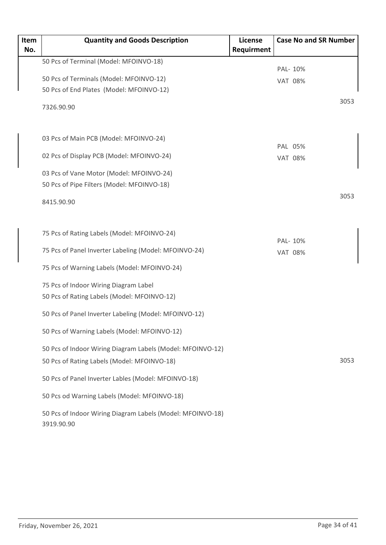| Item | <b>Quantity and Goods Description</b>                                    | <b>License</b> | <b>Case No and SR Number</b> |
|------|--------------------------------------------------------------------------|----------------|------------------------------|
| No.  |                                                                          | Requirment     |                              |
|      | 50 Pcs of Terminal (Model: MFOINVO-18)                                   |                |                              |
|      | 50 Pcs of Terminals (Model: MFOINVO-12)                                  |                | PAL- 10%                     |
|      | 50 Pcs of End Plates (Model: MFOINVO-12)                                 |                | <b>VAT 08%</b>               |
|      |                                                                          |                | 3053                         |
|      | 7326.90.90                                                               |                |                              |
|      |                                                                          |                |                              |
|      |                                                                          |                |                              |
|      | 03 Pcs of Main PCB (Model: MFOINVO-24)                                   |                | PAL 05%                      |
|      | 02 Pcs of Display PCB (Model: MFOINVO-24)                                |                | <b>VAT 08%</b>               |
|      | 03 Pcs of Vane Motor (Model: MFOINVO-24)                                 |                |                              |
|      | 50 Pcs of Pipe Filters (Model: MFOINVO-18)                               |                |                              |
|      |                                                                          |                | 3053                         |
|      | 8415.90.90                                                               |                |                              |
|      |                                                                          |                |                              |
|      |                                                                          |                |                              |
|      | 75 Pcs of Rating Labels (Model: MFOINVO-24)                              |                | PAL- 10%                     |
|      | 75 Pcs of Panel Inverter Labeling (Model: MFOINVO-24)                    |                | <b>VAT 08%</b>               |
|      | 75 Pcs of Warning Labels (Model: MFOINVO-24)                             |                |                              |
|      |                                                                          |                |                              |
|      | 75 Pcs of Indoor Wiring Diagram Label                                    |                |                              |
|      | 50 Pcs of Rating Labels (Model: MFOINVO-12)                              |                |                              |
|      | 50 Pcs of Panel Inverter Labeling (Model: MFOINVO-12)                    |                |                              |
|      |                                                                          |                |                              |
|      | 50 Pcs of Warning Labels (Model: MFOINVO-12)                             |                |                              |
|      | 50 Pcs of Indoor Wiring Diagram Labels (Model: MFOINVO-12)               |                |                              |
|      | 50 Pcs of Rating Labels (Model: MFOINVO-18)                              |                | 3053                         |
|      | 50 Pcs of Panel Inverter Lables (Model: MFOINVO-18)                      |                |                              |
|      | 50 Pcs od Warning Labels (Model: MFOINVO-18)                             |                |                              |
|      | 50 Pcs of Indoor Wiring Diagram Labels (Model: MFOINVO-18)<br>3919.90.90 |                |                              |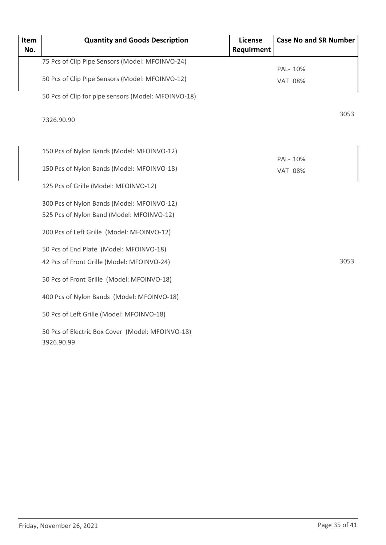| Item<br>No. | <b>Quantity and Goods Description</b>                                                   | License<br>Requirment | <b>Case No and SR Number</b> |
|-------------|-----------------------------------------------------------------------------------------|-----------------------|------------------------------|
|             | 75 Pcs of Clip Pipe Sensors (Model: MFOINVO-24)                                         |                       | PAL- 10%                     |
|             | 50 Pcs of Clip Pipe Sensors (Model: MFOINVO-12)                                         |                       | <b>VAT 08%</b>               |
|             | 50 Pcs of Clip for pipe sensors (Model: MFOINVO-18)                                     |                       |                              |
|             | 7326.90.90                                                                              |                       | 3053                         |
|             | 150 Pcs of Nylon Bands (Model: MFOINVO-12)                                              |                       |                              |
|             | 150 Pcs of Nylon Bands (Model: MFOINVO-18)                                              |                       | PAL- 10%<br><b>VAT 08%</b>   |
|             | 125 Pcs of Grille (Model: MFOINVO-12)                                                   |                       |                              |
|             | 300 Pcs of Nylon Bands (Model: MFOINVO-12)<br>525 Pcs of Nylon Band (Model: MFOINVO-12) |                       |                              |
|             | 200 Pcs of Left Grille (Model: MFOINVO-12)                                              |                       |                              |
|             | 50 Pcs of End Plate (Model: MFOINVO-18)<br>42 Pcs of Front Grille (Model: MFOINVO-24)   |                       | 3053                         |
|             | 50 Pcs of Front Grille (Model: MFOINVO-18)                                              |                       |                              |
|             | 400 Pcs of Nylon Bands (Model: MFOINVO-18)                                              |                       |                              |
|             | 50 Pcs of Left Grille (Model: MFOINVO-18)                                               |                       |                              |
|             | 50 Pcs of Electric Box Cover (Model: MFOINVO-18)<br>3926.90.99                          |                       |                              |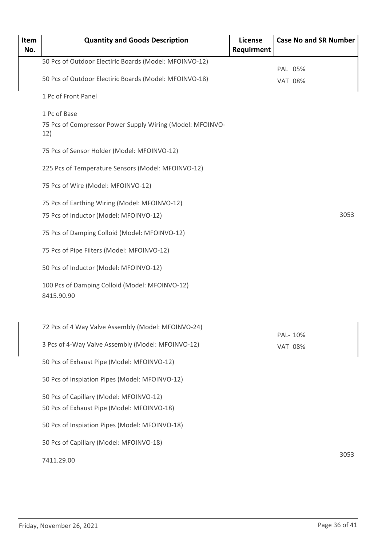| Item<br>No. | <b>Quantity and Goods Description</b>                            | <b>License</b><br>Requirment | <b>Case No and SR Number</b> |
|-------------|------------------------------------------------------------------|------------------------------|------------------------------|
|             | 50 Pcs of Outdoor Electiric Boards (Model: MFOINVO-12)           |                              |                              |
|             | 50 Pcs of Outdoor Electiric Boards (Model: MFOINVO-18)           |                              | PAL 05%<br><b>VAT 08%</b>    |
|             | 1 Pc of Front Panel                                              |                              |                              |
|             | 1 Pc of Base                                                     |                              |                              |
|             | 75 Pcs of Compressor Power Supply Wiring (Model: MFOINVO-<br>12) |                              |                              |
|             | 75 Pcs of Sensor Holder (Model: MFOINVO-12)                      |                              |                              |
|             | 225 Pcs of Temperature Sensors (Model: MFOINVO-12)               |                              |                              |
|             | 75 Pcs of Wire (Model: MFOINVO-12)                               |                              |                              |
|             | 75 Pcs of Earthing Wiring (Model: MFOINVO-12)                    |                              |                              |
|             | 75 Pcs of Inductor (Model: MFOINVO-12)                           |                              | 3053                         |
|             | 75 Pcs of Damping Colloid (Model: MFOINVO-12)                    |                              |                              |
|             | 75 Pcs of Pipe Filters (Model: MFOINVO-12)                       |                              |                              |
|             | 50 Pcs of Inductor (Model: MFOINVO-12)                           |                              |                              |
|             | 100 Pcs of Damping Colloid (Model: MFOINVO-12)<br>8415.90.90     |                              |                              |
|             | 72 Pcs of 4 Way Valve Assembly (Model: MFOINVO-24)               |                              |                              |
|             | 3 Pcs of 4-Way Valve Assembly (Model: MFOINVO-12)                |                              | PAL- 10%<br><b>VAT 08%</b>   |
|             | 50 Pcs of Exhaust Pipe (Model: MFOINVO-12)                       |                              |                              |
|             | 50 Pcs of Inspiation Pipes (Model: MFOINVO-12)                   |                              |                              |
|             | 50 Pcs of Capillary (Model: MFOINVO-12)                          |                              |                              |
|             | 50 Pcs of Exhaust Pipe (Model: MFOINVO-18)                       |                              |                              |
|             | 50 Pcs of Inspiation Pipes (Model: MFOINVO-18)                   |                              |                              |
|             | 50 Pcs of Capillary (Model: MFOINVO-18)                          |                              |                              |
|             | 7411.29.00                                                       |                              | 3053                         |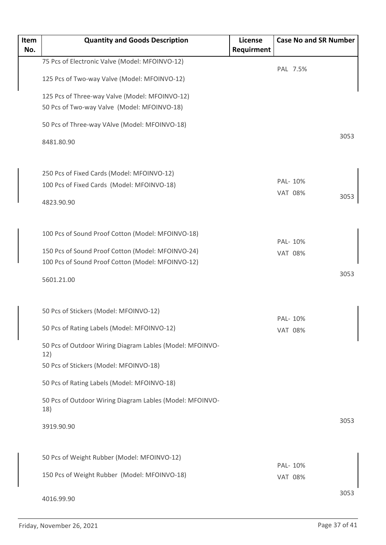| Item | <b>Quantity and Goods Description</b>                           | <b>License</b> |                            | <b>Case No and SR Number</b> |      |
|------|-----------------------------------------------------------------|----------------|----------------------------|------------------------------|------|
| No.  |                                                                 | Requirment     |                            |                              |      |
|      | 75 Pcs of Electronic Valve (Model: MFOINVO-12)                  |                |                            | PAL 7.5%                     |      |
|      | 125 Pcs of Two-way Valve (Model: MFOINVO-12)                    |                |                            |                              |      |
|      | 125 Pcs of Three-way Valve (Model: MFOINVO-12)                  |                |                            |                              |      |
|      | 50 Pcs of Two-way Valve (Model: MFOINVO-18)                     |                |                            |                              |      |
|      | 50 Pcs of Three-way VAlve (Model: MFOINVO-18)                   |                |                            |                              |      |
|      | 8481.80.90                                                      |                |                            |                              | 3053 |
|      | 250 Pcs of Fixed Cards (Model: MFOINVO-12)                      |                |                            |                              |      |
|      | 100 Pcs of Fixed Cards (Model: MFOINVO-18)                      |                | PAL- 10%                   |                              |      |
|      |                                                                 |                | <b>VAT 08%</b>             |                              | 3053 |
|      | 4823.90.90                                                      |                |                            |                              |      |
|      | 100 Pcs of Sound Proof Cotton (Model: MFOINVO-18)               |                |                            |                              |      |
|      | 150 Pcs of Sound Proof Cotton (Model: MFOINVO-24)               |                | PAL- 10%<br><b>VAT 08%</b> |                              |      |
|      | 100 Pcs of Sound Proof Cotton (Model: MFOINVO-12)               |                |                            |                              |      |
|      | 5601.21.00                                                      |                |                            |                              | 3053 |
|      | 50 Pcs of Stickers (Model: MFOINVO-12)                          |                |                            |                              |      |
|      | 50 Pcs of Rating Labels (Model: MFOINVO-12)                     |                | PAL- 10%<br><b>VAT 08%</b> |                              |      |
|      | 50 Pcs of Outdoor Wiring Diagram Lables (Model: MFOINVO-<br>12) |                |                            |                              |      |
|      | 50 Pcs of Stickers (Model: MFOINVO-18)                          |                |                            |                              |      |
|      | 50 Pcs of Rating Labels (Model: MFOINVO-18)                     |                |                            |                              |      |
|      | 50 Pcs of Outdoor Wiring Diagram Lables (Model: MFOINVO-<br>18) |                |                            |                              |      |
|      | 3919.90.90                                                      |                |                            |                              | 3053 |
|      | 50 Pcs of Weight Rubber (Model: MFOINVO-12)                     |                |                            |                              |      |
|      | 150 Pcs of Weight Rubber (Model: MFOINVO-18)                    |                | PAL- 10%<br><b>VAT 08%</b> |                              |      |
|      |                                                                 |                |                            |                              |      |
|      | 4016.99.90                                                      |                |                            |                              | 3053 |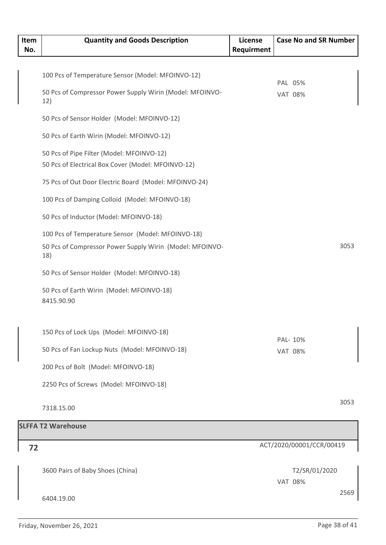| Item<br>No. | <b>Quantity and Goods Description</b>                           | <b>License</b><br>Requirment | <b>Case No and SR Number</b> |
|-------------|-----------------------------------------------------------------|------------------------------|------------------------------|
|             |                                                                 |                              |                              |
|             | 100 Pcs of Temperature Sensor (Model: MFOINVO-12)               |                              |                              |
|             | 50 Pcs of Compressor Power Supply Wirin (Model: MFOINVO-        |                              | PAL 05%                      |
|             | 12)                                                             |                              | <b>VAT 08%</b>               |
|             | 50 Pcs of Sensor Holder (Model: MFOINVO-12)                     |                              |                              |
|             | 50 Pcs of Earth Wirin (Model: MFOINVO-12)                       |                              |                              |
|             | 50 Pcs of Pipe Filter (Model: MFOINVO-12)                       |                              |                              |
|             | 50 Pcs of Electrical Box Cover (Model: MFOINVO-12)              |                              |                              |
|             | 75 Pcs of Out Door Electric Board (Model: MFOINVO-24)           |                              |                              |
|             | 100 Pcs of Damping Colloid (Model: MFOINVO-18)                  |                              |                              |
|             | 50 Pcs of Inductor (Model: MFOINVO-18)                          |                              |                              |
|             | 100 Pcs of Temperature Sensor (Model: MFOINVO-18)               |                              |                              |
|             | 50 Pcs of Compressor Power Supply Wirin (Model: MFOINVO-<br>18) |                              | 3053                         |
|             | 50 Pcs of Sensor Holder (Model: MFOINVO-18)                     |                              |                              |
|             | 50 Pcs of Earth Wirin (Model: MFOINVO-18)<br>8415.90.90         |                              |                              |
|             | 150 Pcs of Lock Ups (Model: MFOINVO-18)                         |                              |                              |
|             |                                                                 |                              | PAL- 10%                     |
|             | 50 Pcs of Fan Lockup Nuts (Model: MFOINVO-18)                   |                              | <b>VAT 08%</b>               |
|             | 200 Pcs of Bolt (Model: MFOINVO-18)                             |                              |                              |
|             | 2250 Pcs of Screws (Model: MFOINVO-18)                          |                              |                              |
|             | 7318.15.00                                                      |                              | 3053                         |
|             | <b>SLFFA T2 Warehouse</b>                                       |                              |                              |

#### ACT/2020/00001/CCR/00419 **72** 3600 Pairs of Baby Shoes (China) 6404.19.00 T2/SR/01/2020 2569 VAT 08%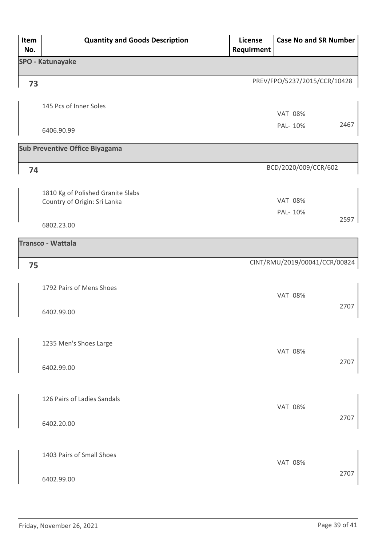| Item<br>No. | <b>Quantity and Goods Description</b> | License<br>Requirment | <b>Case No and SR Number</b>  |      |
|-------------|---------------------------------------|-----------------------|-------------------------------|------|
|             | <b>SPO - Katunayake</b>               |                       |                               |      |
| 73          |                                       |                       | PREV/FPO/5237/2015/CCR/10428  |      |
|             | 145 Pcs of Inner Soles                |                       |                               |      |
|             |                                       |                       | <b>VAT 08%</b>                | 2467 |
|             | 6406.90.99                            |                       | PAL- 10%                      |      |
|             | <b>Sub Preventive Office Biyagama</b> |                       |                               |      |
| 74          |                                       |                       | BCD/2020/009/CCR/602          |      |
|             | 1810 Kg of Polished Granite Slabs     |                       |                               |      |
|             | Country of Origin: Sri Lanka          |                       | <b>VAT 08%</b><br>PAL- 10%    |      |
|             | 6802.23.00                            |                       |                               | 2597 |
|             | <b>Transco - Wattala</b>              |                       |                               |      |
| 75          |                                       |                       | CINT/RMU/2019/00041/CCR/00824 |      |
|             | 1792 Pairs of Mens Shoes              |                       |                               |      |
|             |                                       |                       | <b>VAT 08%</b>                | 2707 |
|             | 6402.99.00                            |                       |                               |      |
|             | 1235 Men's Shoes Large                |                       |                               |      |
|             |                                       |                       | <b>VAT 08%</b>                |      |
|             | 6402.99.00                            |                       |                               | 2707 |
|             | 126 Pairs of Ladies Sandals           |                       |                               |      |
|             |                                       |                       | <b>VAT 08%</b>                |      |
|             | 6402.20.00                            |                       |                               | 2707 |
|             |                                       |                       |                               |      |
|             | 1403 Pairs of Small Shoes             |                       | <b>VAT 08%</b>                |      |
|             | 6402.99.00                            |                       |                               | 2707 |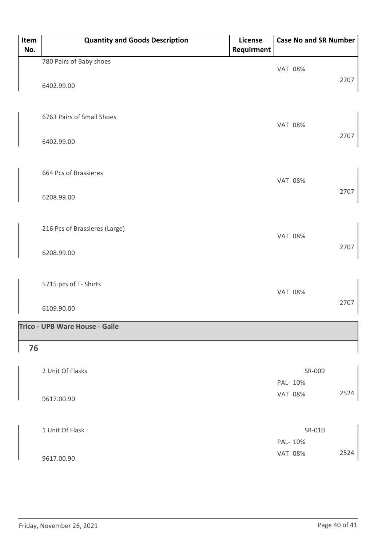| Item<br>No. | <b>Quantity and Goods Description</b> | License<br>Requirment | <b>Case No and SR Number</b> |      |
|-------------|---------------------------------------|-----------------------|------------------------------|------|
|             | 780 Pairs of Baby shoes               |                       |                              |      |
|             | 6402.99.00                            |                       | <b>VAT 08%</b>               | 2707 |
|             | 6763 Pairs of Small Shoes             |                       | <b>VAT 08%</b>               | 2707 |
|             | 6402.99.00                            |                       |                              |      |
|             | 664 Pcs of Brassieres                 |                       | <b>VAT 08%</b>               | 2707 |
|             | 6208.99.00                            |                       |                              |      |
|             | 216 Pcs of Brassieres (Large)         |                       | <b>VAT 08%</b>               |      |
|             | 6208.99.00                            |                       |                              | 2707 |
|             | 5715 pcs of T- Shirts                 |                       | <b>VAT 08%</b>               |      |
|             | 6109.90.00                            |                       |                              | 2707 |
|             | Trico - UPB Ware House - Galle        |                       |                              |      |
| 76          |                                       |                       |                              |      |
|             | 2 Unit Of Flasks                      |                       | SR-009                       |      |
|             |                                       |                       | PAL- 10%                     | 2524 |
|             | 9617.00.90                            |                       | <b>VAT 08%</b>               |      |
|             | 1 Unit Of Flask                       |                       | SR-010                       |      |
|             |                                       |                       | PAL- 10%                     |      |
|             | 9617.00.90                            |                       | <b>VAT 08%</b>               | 2524 |